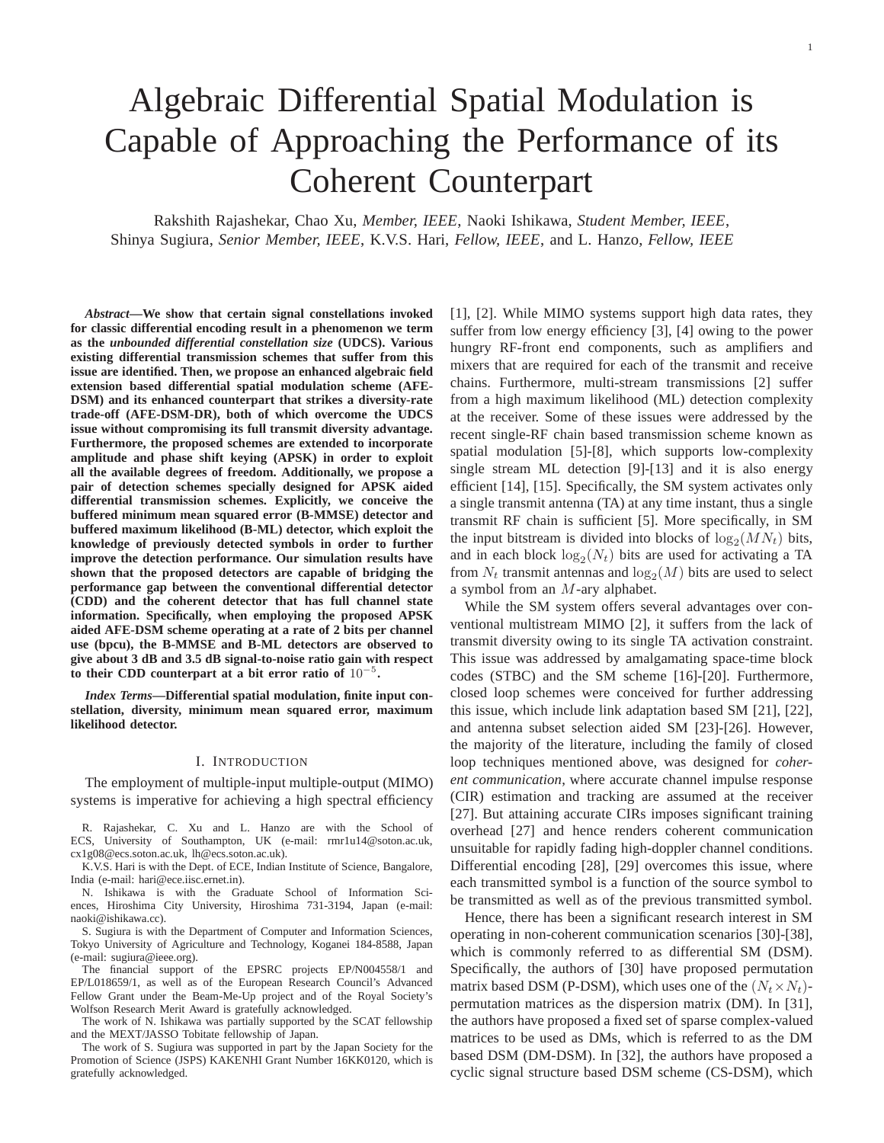# Algebraic Differential Spatial Modulation is Capable of Approaching the Performance of its Coherent Counterpart

Rakshith Rajashekar, Chao Xu, *Member, IEEE*, Naoki Ishikawa, *Student Member, IEEE*, Shinya Sugiura, *Senior Member, IEEE*, K.V.S. Hari, *Fellow, IEEE*, and L. Hanzo, *Fellow, IEEE*

*Abstract***—We show that certain signal constellations invoked for classic differential encoding result in a phenomenon we term as the** *unbounded differential constellation size* **(UDCS). Various existing differential transmission schemes that suffer from this issue are identified. Then, we propose an enhanced algebraic field extension based differential spatial modulation scheme (AFE-DSM) and its enhanced counterpart that strikes a diversity-rate trade-off (AFE-DSM-DR), both of which overcome the UDCS issue without compromising its full transmit diversity advantage. Furthermore, the proposed schemes are extended to incorporate amplitude and phase shift keying (APSK) in order to exploit all the available degrees of freedom. Additionally, we propose a pair of detection schemes specially designed for APSK aided differential transmission schemes. Explicitly, we conceive the buffered minimum mean squared error (B-MMSE) detector and buffered maximum likelihood (B-ML) detector, which exploit the knowledge of previously detected symbols in order to further improve the detection performance. Our simulation results have shown that the proposed detectors are capable of bridging the performance gap between the conventional differential detector (CDD) and the coherent detector that has full channel state information. Specifically, when employing the proposed APSK aided AFE-DSM scheme operating at a rate of 2 bits per channel use (bpcu), the B-MMSE and B-ML detectors are observed to give about 3 dB and 3.5 dB signal-to-noise ratio gain with respect to their CDD counterpart at a bit error ratio of** 10<sup>−</sup><sup>5</sup> **.**

*Index Terms***—Differential spatial modulation, finite input constellation, diversity, minimum mean squared error, maximum likelihood detector.**

#### I. INTRODUCTION

The employment of multiple-input multiple-output (MIMO) systems is imperative for achieving a high spectral efficiency

R. Rajashekar, C. Xu and L. Hanzo are with the School of ECS, University of Southampton, UK (e-mail: rmr1u14@soton.ac.uk, cx1g08@ecs.soton.ac.uk, lh@ecs.soton.ac.uk).

K.V.S. Hari is with the Dept. of ECE, Indian Institute of Science, Bangalore, India (e-mail: hari@ece.iisc.ernet.in).

N. Ishikawa is with the Graduate School of Information Sciences, Hiroshima City University, Hiroshima 731-3194, Japan (e-mail: naoki@ishikawa.cc).

S. Sugiura is with the Department of Computer and Information Sciences, Tokyo University of Agriculture and Technology, Koganei 184-8588, Japan (e-mail: sugiura@ieee.org).

The financial support of the EPSRC projects EP/N004558/1 and EP/L018659/1, as well as of the European Research Council's Advanced Fellow Grant under the Beam-Me-Up project and of the Royal Society's Wolfson Research Merit Award is gratefully acknowledged.

The work of N. Ishikawa was partially supported by the SCAT fellowship and the MEXT/JASSO Tobitate fellowship of Japan.

The work of S. Sugiura was supported in part by the Japan Society for the Promotion of Science (JSPS) KAKENHI Grant Number 16KK0120, which is gratefully acknowledged.

[1], [2]. While MIMO systems support high data rates, they suffer from low energy efficiency [3], [4] owing to the power hungry RF-front end components, such as amplifiers and mixers that are required for each of the transmit and receive chains. Furthermore, multi-stream transmissions [2] suffer from a high maximum likelihood (ML) detection complexity at the receiver. Some of these issues were addressed by the recent single-RF chain based transmission scheme known as spatial modulation [5]-[8], which supports low-complexity single stream ML detection [9]-[13] and it is also energy efficient [14], [15]. Specifically, the SM system activates only a single transmit antenna (TA) at any time instant, thus a single transmit RF chain is sufficient [5]. More specifically, in SM the input bitstream is divided into blocks of  $log_2(MN_t)$  bits, and in each block  $log_2(N_t)$  bits are used for activating a TA from  $N_t$  transmit antennas and  $\log_2(M)$  bits are used to select a symbol from an M-ary alphabet.

While the SM system offers several advantages over conventional multistream MIMO [2], it suffers from the lack of transmit diversity owing to its single TA activation constraint. This issue was addressed by amalgamating space-time block codes (STBC) and the SM scheme [16]-[20]. Furthermore, closed loop schemes were conceived for further addressing this issue, which include link adaptation based SM [21], [22], and antenna subset selection aided SM [23]-[26]. However, the majority of the literature, including the family of closed loop techniques mentioned above, was designed for *coherent communication*, where accurate channel impulse response (CIR) estimation and tracking are assumed at the receiver [27]. But attaining accurate CIRs imposes significant training overhead [27] and hence renders coherent communication unsuitable for rapidly fading high-doppler channel conditions. Differential encoding [28], [29] overcomes this issue, where each transmitted symbol is a function of the source symbol to be transmitted as well as of the previous transmitted symbol.

Hence, there has been a significant research interest in SM operating in non-coherent communication scenarios [30]-[38], which is commonly referred to as differential SM (DSM). Specifically, the authors of [30] have proposed permutation matrix based DSM (P-DSM), which uses one of the  $(N_t \times N_t)$ permutation matrices as the dispersion matrix (DM). In [31], the authors have proposed a fixed set of sparse complex-valued matrices to be used as DMs, which is referred to as the DM based DSM (DM-DSM). In [32], the authors have proposed a cyclic signal structure based DSM scheme (CS-DSM), which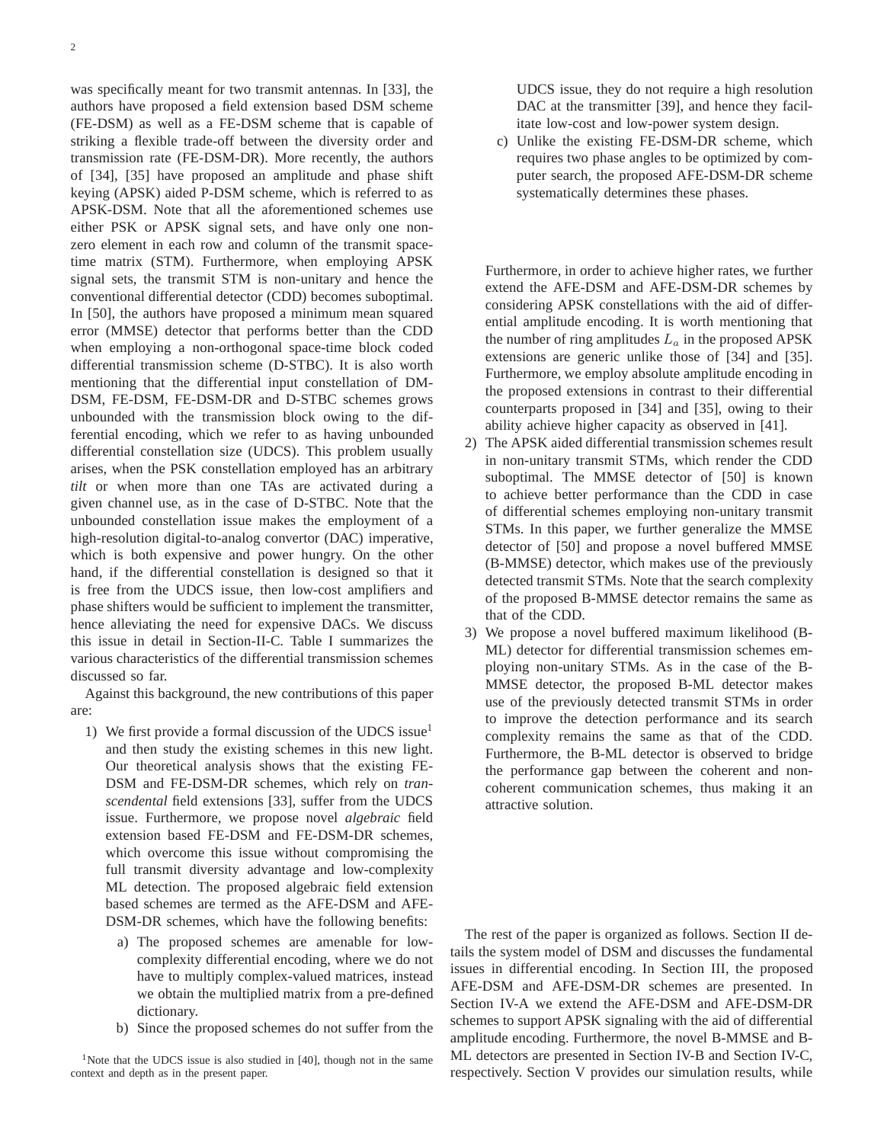was specifically meant for two transmit antennas. In [33], the authors have proposed a field extension based DSM scheme (FE-DSM) as well as a FE-DSM scheme that is capable of striking a flexible trade-off between the diversity order and transmission rate (FE-DSM-DR). More recently, the authors of [34], [35] have proposed an amplitude and phase shift keying (APSK) aided P-DSM scheme, which is referred to as APSK-DSM. Note that all the aforementioned schemes use either PSK or APSK signal sets, and have only one nonzero element in each row and column of the transmit spacetime matrix (STM). Furthermore, when employing APSK signal sets, the transmit STM is non-unitary and hence the conventional differential detector (CDD) becomes suboptimal. In [50], the authors have proposed a minimum mean squared error (MMSE) detector that performs better than the CDD when employing a non-orthogonal space-time block coded differential transmission scheme (D-STBC). It is also worth mentioning that the differential input constellation of DM-DSM, FE-DSM, FE-DSM-DR and D-STBC schemes grows unbounded with the transmission block owing to the differential encoding, which we refer to as having unbounded differential constellation size (UDCS). This problem usually arises, when the PSK constellation employed has an arbitrary *tilt* or when more than one TAs are activated during a given channel use, as in the case of D-STBC. Note that the unbounded constellation issue makes the employment of a high-resolution digital-to-analog convertor (DAC) imperative, which is both expensive and power hungry. On the other hand, if the differential constellation is designed so that it is free from the UDCS issue, then low-cost amplifiers and phase shifters would be sufficient to implement the transmitter, hence alleviating the need for expensive DACs. We discuss this issue in detail in Section-II-C. Table I summarizes the various characteristics of the differential transmission schemes discussed so far.

Against this background, the new contributions of this paper are:

- 1) We first provide a formal discussion of the UDCS issue<sup>1</sup> and then study the existing schemes in this new light. Our theoretical analysis shows that the existing FE-DSM and FE-DSM-DR schemes, which rely on *transcendental* field extensions [33], suffer from the UDCS issue. Furthermore, we propose novel *algebraic* field extension based FE-DSM and FE-DSM-DR schemes, which overcome this issue without compromising the full transmit diversity advantage and low-complexity ML detection. The proposed algebraic field extension based schemes are termed as the AFE-DSM and AFE-DSM-DR schemes, which have the following benefits:
	- a) The proposed schemes are amenable for lowcomplexity differential encoding, where we do not have to multiply complex-valued matrices, instead we obtain the multiplied matrix from a pre-defined dictionary.
	- b) Since the proposed schemes do not suffer from the

<sup>1</sup>Note that the UDCS issue is also studied in [40], though not in the same context and depth as in the present paper.

UDCS issue, they do not require a high resolution DAC at the transmitter [39], and hence they facilitate low-cost and low-power system design.

c) Unlike the existing FE-DSM-DR scheme, which requires two phase angles to be optimized by computer search, the proposed AFE-DSM-DR scheme systematically determines these phases.

Furthermore, in order to achieve higher rates, we further extend the AFE-DSM and AFE-DSM-DR schemes by considering APSK constellations with the aid of differential amplitude encoding. It is worth mentioning that the number of ring amplitudes  $L_a$  in the proposed APSK extensions are generic unlike those of [34] and [35]. Furthermore, we employ absolute amplitude encoding in the proposed extensions in contrast to their differential counterparts proposed in [34] and [35], owing to their ability achieve higher capacity as observed in [41].

- 2) The APSK aided differential transmission schemes result in non-unitary transmit STMs, which render the CDD suboptimal. The MMSE detector of [50] is known to achieve better performance than the CDD in case of differential schemes employing non-unitary transmit STMs. In this paper, we further generalize the MMSE detector of [50] and propose a novel buffered MMSE (B-MMSE) detector, which makes use of the previously detected transmit STMs. Note that the search complexity of the proposed B-MMSE detector remains the same as that of the CDD.
- 3) We propose a novel buffered maximum likelihood (B-ML) detector for differential transmission schemes employing non-unitary STMs. As in the case of the B-MMSE detector, the proposed B-ML detector makes use of the previously detected transmit STMs in order to improve the detection performance and its search complexity remains the same as that of the CDD. Furthermore, the B-ML detector is observed to bridge the performance gap between the coherent and noncoherent communication schemes, thus making it an attractive solution.

The rest of the paper is organized as follows. Section II details the system model of DSM and discusses the fundamental issues in differential encoding. In Section III, the proposed AFE-DSM and AFE-DSM-DR schemes are presented. In Section IV-A we extend the AFE-DSM and AFE-DSM-DR schemes to support APSK signaling with the aid of differential amplitude encoding. Furthermore, the novel B-MMSE and B-ML detectors are presented in Section IV-B and Section IV-C, respectively. Section V provides our simulation results, while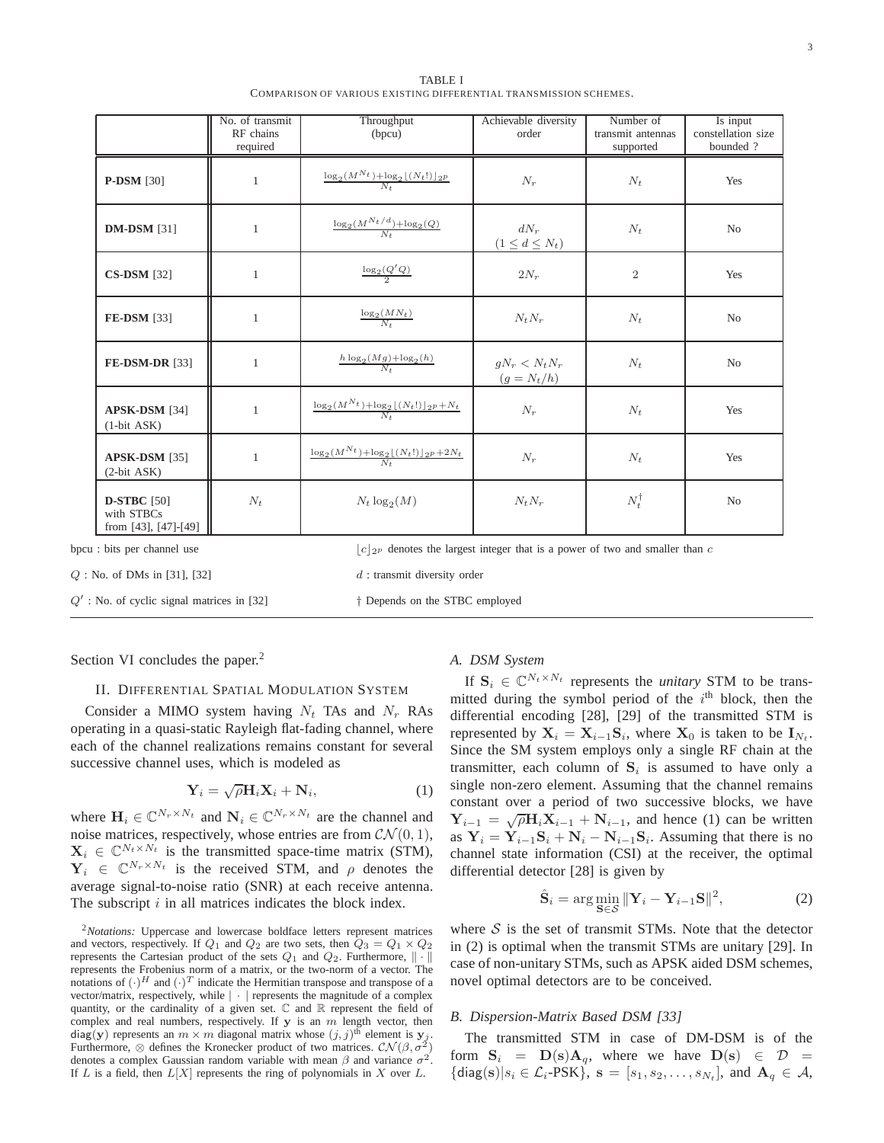| TABLE I                                                           |
|-------------------------------------------------------------------|
| COMPARISON OF VARIOUS EXISTING DIFFERENTIAL TRANSMISSION SCHEMES. |

|                                                          | No. of transmit<br>RF chains<br>required | Throughput<br>(bpcu)                                                             | Achievable diversity<br>order    | Number of<br>transmit antennas<br>supported | Is input<br>constellation size<br>bounded ? |
|----------------------------------------------------------|------------------------------------------|----------------------------------------------------------------------------------|----------------------------------|---------------------------------------------|---------------------------------------------|
| <b>P-DSM</b> [30]                                        | 1                                        | $\frac{\log_2(M^{N_t}) + \log_2[(N_t!)]_{2^p}}{N_t}$                             | $N_r$                            | $N_t$                                       | Yes                                         |
| <b>DM-DSM</b> [31]                                       | 1                                        | $\frac{\log_2(M^{N_t/d})+\log_2(Q)}{N_*}$                                        | $dN_r$<br>$(1 \leq d \leq N_t)$  | $N_t$                                       | N <sub>o</sub>                              |
| <b>CS-DSM</b> [32]                                       | 1                                        | $\frac{\log_2(Q'Q)}{2}$                                                          | $2N_r$                           | $\overline{2}$                              | Yes                                         |
| FE-DSM [33]                                              | $\mathbf{1}$                             | $\frac{\log_2(MN_t)}{N_t}$                                                       | $N_t N_r$                        | $N_t$                                       | N <sub>o</sub>                              |
| <b>FE-DSM-DR [33]</b>                                    | $\mathbf{1}$                             | $\frac{h \log_2(Mg) + \log_2(h)}{N_{\star}}$                                     | $qN_r < N_tN_r$<br>$(g = N_t/h)$ | $N_t$                                       | N <sub>o</sub>                              |
| APSK-DSM [34]<br>$(1-bit ASK)$                           | $\mathbf{1}$                             | $\frac{\log_2(M^{N_t}) + \log_2\lfloor (N_t!)\rfloor_{2^p} + N_t}{N_t}$          | $N_r$                            | $N_t$                                       | Yes                                         |
| APSK-DSM [35]<br>$(2-bit ASK)$                           | $\mathbf{1}$                             | $\frac{\log_2(M^{N_t}) + \log_2[(N_t!) \log_2 + 2N_t]}{N_t}$                     | $N_r$                            | $N_t$                                       | Yes                                         |
| <b>D-STBC</b> [50]<br>with STBCs<br>from [43], [47]-[49] | $N_t$                                    | $N_t \log_2(M)$                                                                  | $N_t N_r$                        | $N_t^{\dagger}$                             | N <sub>o</sub>                              |
| bpcu: bits per channel use                               |                                          | $ c _{2p}$ denotes the largest integer that is a power of two and smaller than c |                                  |                                             |                                             |
| $Q:$ No. of DMs in [31], [32]                            |                                          | $d$ : transmit diversity order                                                   |                                  |                                             |                                             |

Section VI concludes the paper.<sup>2</sup>

## II. DIFFERENTIAL SPATIAL MODULATION SYSTEM

Consider a MIMO system having  $N_t$  TAs and  $N_r$  RAs operating in a quasi-static Rayleigh flat-fading channel, where each of the channel realizations remains constant for several successive channel uses, which is modeled as

$$
\mathbf{Y}_i = \sqrt{\rho} \mathbf{H}_i \mathbf{X}_i + \mathbf{N}_i, \tag{1}
$$

 $Q'$ : No. of cyclic signal matrices in [32]  $\uparrow$  Depends on the STBC employed

where  $\mathbf{H}_i \in \mathbb{C}^{N_r \times N_t}$  and  $\mathbf{N}_i \in \mathbb{C}^{N_r \times N_t}$  are the channel and noise matrices, respectively, whose entries are from  $\mathcal{CN}(0,1)$ ,  $\mathbf{X}_i \in \mathbb{C}^{N_t \times N_t}$  is the transmitted space-time matrix (STM),  $Y_i \in \mathbb{C}^{N_r \times N_t}$  is the received STM, and  $\rho$  denotes the average signal-to-noise ratio (SNR) at each receive antenna. The subscript  $i$  in all matrices indicates the block index.

<sup>2</sup>*Notations:* Uppercase and lowercase boldface letters represent matrices and vectors, respectively. If  $Q_1$  and  $Q_2$  are two sets, then  $Q_3 = Q_1 \times Q_2$ represents the Cartesian product of the sets  $Q_1$  and  $Q_2$ . Furthermore,  $\|\cdot\|$ represents the Frobenius norm of a matrix, or the two-norm of a vector. The notations of  $(\cdot)^H$  and  $(\cdot)^T$  indicate the Hermitian transpose and transpose of a vector/matrix, respectively, while  $|\cdot|$  represents the magnitude of a complex quantity, or the cardinality of a given set.  $\mathbb C$  and  $\mathbb R$  represent the field of complex and real numbers, respectively. If  $y$  is an  $m$  length vector, then diag(y) represents an  $m \times m$  diagonal matrix whose  $(j, j)$ <sup>th</sup> element is  $y_j$ . Furthermore,  $\otimes$  defines the Kronecker product of two matrices.  $\mathcal{CN}(\beta, \sigma^2)$ ) denotes a complex Gaussian random variable with mean  $\beta$  and variance  $\sigma^2$ . If  $L$  is a field, then  $L[X]$  represents the ring of polynomials in  $X$  over  $L$ .

# *A. DSM System*

If  $S_i \in \mathbb{C}^{N_t \times N_t}$  represents the *unitary* STM to be transmitted during the symbol period of the  $i<sup>th</sup>$  block, then the differential encoding [28], [29] of the transmitted STM is represented by  $X_i = X_{i-1}S_i$ , where  $X_0$  is taken to be  $I_{N_t}$ . Since the SM system employs only a single RF chain at the transmitter, each column of  $S_i$  is assumed to have only a single non-zero element. Assuming that the channel remains constant over a period of two successive blocks, we have  $Y_{i-1} = \sqrt{\rho} H_i \dot{X}_{i-1} + N_{i-1}$ , and hence (1) can be written as  $Y_i = \dot{Y}_{i-1} S_i + N_i - N_{i-1} S_i$ . Assuming that there is no channel state information (CSI) at the receiver, the optimal differential detector [28] is given by

$$
\hat{\mathbf{S}}_i = \arg\min_{\mathbf{S} \in \mathcal{S}} \|\mathbf{Y}_i - \mathbf{Y}_{i-1}\mathbf{S}\|^2,\tag{2}
$$

where  $S$  is the set of transmit STMs. Note that the detector in (2) is optimal when the transmit STMs are unitary [29]. In case of non-unitary STMs, such as APSK aided DSM schemes, novel optimal detectors are to be conceived.

### *B. Dispersion-Matrix Based DSM [33]*

The transmitted STM in case of DM-DSM is of the form  $S_i = D(s)A_q$ , where we have  $D(s) \in \mathcal{D}$  = { $\text{diag}(s)|s_i \in \mathcal{L}_i\text{-PSK}$ },  $s = [s_1, s_2, \dots, s_{N_t}]$ , and  $\mathbf{A}_q \in \mathcal{A}$ ,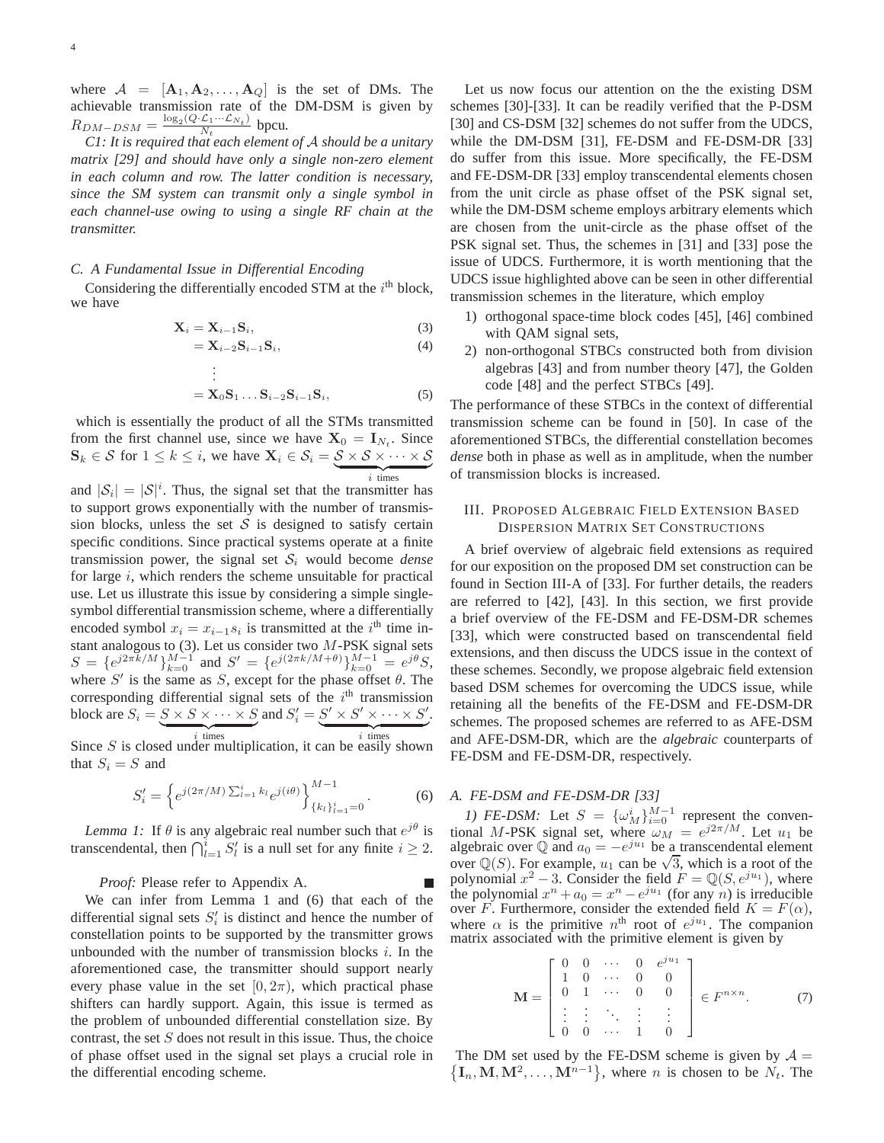where  $A = [\mathbf{A}_1, \mathbf{A}_2, \dots, \mathbf{A}_Q]$  is the set of DMs. The achievable transmission rate of the DM-DSM is given by  $R_{DM-DSM} = \frac{\log_2(Q \cdot \mathcal{L}_1 \cdots \mathcal{L}_{N_t})}{N_t}$  $\frac{\mathcal{L}_1 \cdots \mathcal{L}_{N_t}}{N_t}$  bpcu.

*C1: It is required that each element of* A *should be a unitary matrix [29] and should have only a single non-zero element in each column and row. The latter condition is necessary, since the SM system can transmit only a single symbol in each channel-use owing to using a single RF chain at the transmitter.*

## *C. A Fundamental Issue in Differential Encoding*

.

Considering the differentially encoded STM at the  $i<sup>th</sup>$  block, we have

$$
\mathbf{X}_{i} = \mathbf{X}_{i-1} \mathbf{S}_{i},\tag{3}
$$

$$
=\mathbf{X}_{i-2}\mathbf{S}_{i-1}\mathbf{S}_i,\tag{4}
$$

$$
\begin{aligned}\n &\vdots \\
 &= \mathbf{X}_0 \mathbf{S}_1 \dots \mathbf{S}_{i-2} \mathbf{S}_{i-1} \mathbf{S}_i,\n \end{aligned}\n \tag{5}
$$

which is essentially the product of all the STMs transmitted from the first channel use, since we have  $X_0 = I_{N_t}$ . Since  $\mathbf{S}_k \in \mathcal{S}$  for  $1 \leq k \leq i$ , we have  $\mathbf{X}_i \in \mathcal{S}_i = \underbrace{\mathcal{S} \times \mathcal{S} \times \cdots \times \mathcal{S}}$  $$ 

and  $|S_i| = |S|^i$ . Thus, the signal set that the transmitter has to support grows exponentially with the number of transmission blocks, unless the set  $S$  is designed to satisfy certain specific conditions. Since practical systems operate at a finite transmission power, the signal set  $S_i$  would become *dense* for large  $i$ , which renders the scheme unsuitable for practical use. Let us illustrate this issue by considering a simple singlesymbol differential transmission scheme, where a differentially encoded symbol  $x_i = x_{i-1} s_i$  is transmitted at the  $i<sup>th</sup>$  time instant analogous to  $(3)$ . Let us consider two  $M$ -PSK signal sets  $S = \{e^{j2\pi k/M}\}_{k=0}^{M-1}$  and  $S' = \{e^{j(2\pi k/M+\theta)}\}_{k=0}^{M-1} = e^{j\theta}S$ , where  $S'$  is the same as S, except for the phase offset  $\theta$ . The corresponding differential signal sets of the  $i<sup>th</sup>$  transmission block are  $S_i = \underbrace{S \times S \times \cdots \times S}_{i}$  and  $S'_i = \underbrace{S' \times S' \times \cdots \times S'}_{i}$ .

Since S is closed under multiplication, it can be easily shown that  $S_i = S$  and

$$
S_i' = \left\{ e^{j(2\pi/M)} \sum_{l=1}^i k_l e^{j(i\theta)} \right\}_{\{k_l\}_{l=1}^i=0}^{M-1}.
$$
 (6)

*Lemma 1:* If  $\theta$  is any algebraic real number such that  $e^{j\theta}$  is transcendental, then  $\bigcap_{l=1}^{i} S_{l}'$  is a null set for any finite  $i \geq 2$ .

*Proof:* Please refer to Appendix A.

We can infer from Lemma 1 and (6) that each of the differential signal sets  $S_i'$  is distinct and hence the number of constellation points to be supported by the transmitter grows unbounded with the number of transmission blocks  $i$ . In the aforementioned case, the transmitter should support nearly every phase value in the set  $[0, 2\pi)$ , which practical phase shifters can hardly support. Again, this issue is termed as the problem of unbounded differential constellation size. By contrast, the set  $S$  does not result in this issue. Thus, the choice of phase offset used in the signal set plays a crucial role in the differential encoding scheme.

Let us now focus our attention on the the existing DSM schemes [30]-[33]. It can be readily verified that the P-DSM [30] and CS-DSM [32] schemes do not suffer from the UDCS, while the DM-DSM [31], FE-DSM and FE-DSM-DR [33] do suffer from this issue. More specifically, the FE-DSM and FE-DSM-DR [33] employ transcendental elements chosen from the unit circle as phase offset of the PSK signal set, while the DM-DSM scheme employs arbitrary elements which are chosen from the unit-circle as the phase offset of the PSK signal set. Thus, the schemes in [31] and [33] pose the issue of UDCS. Furthermore, it is worth mentioning that the UDCS issue highlighted above can be seen in other differential transmission schemes in the literature, which employ

- 1) orthogonal space-time block codes [45], [46] combined with QAM signal sets,
- 2) non-orthogonal STBCs constructed both from division algebras [43] and from number theory [47], the Golden code [48] and the perfect STBCs [49].

The performance of these STBCs in the context of differential transmission scheme can be found in [50]. In case of the aforementioned STBCs, the differential constellation becomes *dense* both in phase as well as in amplitude, when the number of transmission blocks is increased.

# III. PROPOSED ALGEBRAIC FIELD EXTENSION BASED DISPERSION MATRIX SET CONSTRUCTIONS

A brief overview of algebraic field extensions as required for our exposition on the proposed DM set construction can be found in Section III-A of [33]. For further details, the readers are referred to [42], [43]. In this section, we first provide a brief overview of the FE-DSM and FE-DSM-DR schemes [33], which were constructed based on transcendental field extensions, and then discuss the UDCS issue in the context of these schemes. Secondly, we propose algebraic field extension based DSM schemes for overcoming the UDCS issue, while retaining all the benefits of the FE-DSM and FE-DSM-DR schemes. The proposed schemes are referred to as AFE-DSM and AFE-DSM-DR, which are the *algebraic* counterparts of FE-DSM and FE-DSM-DR, respectively.

# *A. FE-DSM and FE-DSM-DR [33]*

*1) FE-DSM:* Let  $S = {\omega_M^i}_{i=0}^{M-1}$  represent the conventional M-PSK signal set, where  $\omega_M = e^{j2\pi/M}$ . Let  $u_1$  be algebraic over  $\mathbb Q$  and  $a_0 = -e^{ju_1}$  be a transcendental element over Q(S). For example,  $u_1$  can be  $\sqrt{3}$ , which is a root of the polynomial  $x^2 - 3$ . Consider the field  $F = \mathbb{Q}(S, e^{j u_1})$ , where the polynomial  $x^n + a_0 = x^n - e^{ju_1}$  (for any *n*) is irreducible over F. Furthermore, consider the extended field  $K = F(\alpha)$ , where  $\alpha$  is the primitive  $n^{\text{th}}$  root of  $e^{j u_1}$ . The companion matrix associated with the primitive element is given by

$$
\mathbf{M} = \begin{bmatrix} 0 & 0 & \cdots & 0 & e^{ju_1} \\ 1 & 0 & \cdots & 0 & 0 \\ 0 & 1 & \cdots & 0 & 0 \\ \vdots & \vdots & \ddots & \vdots & \vdots \\ 0 & 0 & \cdots & 1 & 0 \end{bmatrix} \in F^{n \times n}.
$$
 (7)

 $\{I_n, M, M^2, \ldots, M^{n-1}\}\$ , where *n* is chosen to be  $N_t$ . The The DM set used by the FE-DSM scheme is given by  $A =$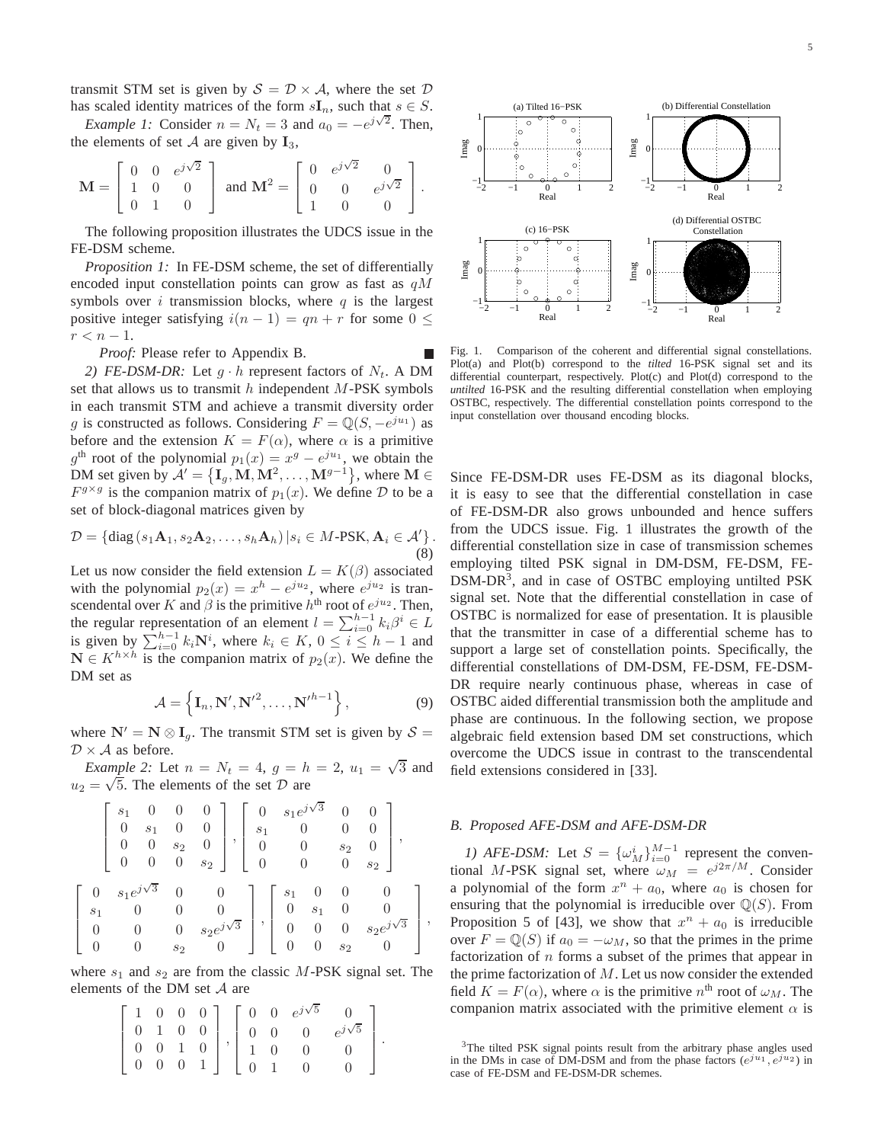transmit STM set is given by  $S = \mathcal{D} \times \mathcal{A}$ , where the set  $\mathcal{D}$ has scaled identity matrices of the form  $sI_n$ , such that  $s \in S$ .

*Example 1:* Consider  $n = N_t = 3$  and  $a_0 = -e^{j\sqrt{2}}$ . Then, the elements of set  $A$  are given by  $I_3$ ,

$$
\mathbf{M} = \left[ \begin{array}{ccc} 0 & 0 & e^{j\sqrt{2}} \\ 1 & 0 & 0 \\ 0 & 1 & 0 \end{array} \right] \text{ and } \mathbf{M}^2 = \left[ \begin{array}{ccc} 0 & e^{j\sqrt{2}} & 0 \\ 0 & 0 & e^{j\sqrt{2}} \\ 1 & 0 & 0 \end{array} \right].
$$

The following proposition illustrates the UDCS issue in the FE-DSM scheme.

*Proposition 1:* In FE-DSM scheme, the set of differentially encoded input constellation points can grow as fast as  $qM$ symbols over  $i$  transmission blocks, where  $q$  is the largest positive integer satisfying  $i(n - 1) = qn + r$  for some  $0 \leq$  $r < n-1$ .

*Proof:* Please refer to Appendix B.

*2) FE-DSM-DR:* Let  $g \cdot h$  represent factors of  $N_t$ . A DM set that allows us to transmit  $h$  independent  $M$ -PSK symbols in each transmit STM and achieve a transmit diversity order g is constructed as follows. Considering  $F = \mathbb{Q}(S, -e^{ju_1})$  as before and the extension  $K = F(\alpha)$ , where  $\alpha$  is a primitive  $g<sup>th</sup>$  root of the polynomial  $p_1(x) = x<sup>g</sup> - e^{ju_1}$ , we obtain the DM set given by  $\mathcal{A}' = \{\mathbf{I}_g, \mathbf{M}, \mathbf{M}^2, \dots, \mathbf{M}^{g-1}\}\)$ , where  $\mathbf{M} \in \mathcal{A}$  $F^{g \times g}$  is the companion matrix of  $p_1(x)$ . We define D to be a set of block-diagonal matrices given by

$$
\mathcal{D} = \{ \text{diag}\left(s_1 \mathbf{A}_1, s_2 \mathbf{A}_2, \dots, s_h \mathbf{A}_h\right) | s_i \in M\text{-PSK}, \mathbf{A}_i \in \mathcal{A}' \}.
$$
\n(8)

Let us now consider the field extension  $L = K(\beta)$  associated with the polynomial  $p_2(x) = x^h - e^{ju_2}$ , where  $e^{ju_2}$  is transcendental over K and  $\beta$  is the primitive  $h<sup>th</sup>$  root of  $e^{ju_2}$ . Then, the regular representation of an element  $l = \sum_{i=0}^{h-1} k_i \beta^i \in L$ is given by  $\sum_{i=0}^{h-1} k_i \mathbf{N}^i$ , where  $k_i \in K$ ,  $0 \le i \le h-1$  and  $\mathbf{N} \in K^{h \times h}$  is the companion matrix of  $p_2(x)$ . We define the DM set as

$$
\mathcal{A} = \left\{ \mathbf{I}_n, \mathbf{N}', \mathbf{N}'^2, \dots, \mathbf{N}'^{h-1} \right\},\tag{9}
$$

where  $N' = N \otimes I_q$ . The transmit STM set is given by  $S =$  $\mathcal{D} \times \mathcal{A}$  as before.

*Example 2:* Let  $n = N_t = 4$ ,  $g = h = 2$ ,  $u_1 = \sqrt{3}$  and  $u_2 = \sqrt{5}$ . The elements of the set D are

$$
\begin{bmatrix}\ns_1 & 0 & 0 & 0 \\
0 & s_1 & 0 & 0 \\
0 & 0 & s_2 & 0 \\
0 & 0 & 0 & s_2\n\end{bmatrix}, \begin{bmatrix}\n0 & s_1 e^{j\sqrt{3}} & 0 & 0 \\
s_1 & 0 & 0 & 0 \\
0 & 0 & s_2 & 0 \\
0 & 0 & 0 & s_2\n\end{bmatrix},
$$
\n
$$
\begin{bmatrix}\n0 & s_1 e^{j\sqrt{3}} & 0 & 0 \\
s_1 & 0 & 0 & 0 \\
0 & 0 & 0 & s_2 e^{j\sqrt{3}} \\
0 & 0 & s_2 & 0\n\end{bmatrix}, \begin{bmatrix}\ns_1 & 0 & 0 & 0 \\
0 & s_1 & 0 & 0 \\
0 & 0 & 0 & s_2 e^{j\sqrt{3}} \\
0 & 0 & s_2 & 0\n\end{bmatrix},
$$

where  $s_1$  and  $s_2$  are from the classic M-PSK signal set. The elements of the DM set  $A$  are

$$
\left[\begin{array}{cccc} 1 & 0 & 0 & 0 \\ 0 & 1 & 0 & 0 \\ 0 & 0 & 1 & 0 \\ 0 & 0 & 0 & 1 \end{array}\right], \left[\begin{array}{cccc} 0 & 0 & e^{j\sqrt{5}} & 0 \\ 0 & 0 & 0 & e^{j\sqrt{5}} \\ 1 & 0 & 0 & 0 \\ 0 & 1 & 0 & 0 \end{array}\right].
$$





−1

 $\boldsymbol{0}$ 

Imag

1

Fig. 1. Comparison of the coherent and differential signal constellations. Plot(a) and Plot(b) correspond to the *tilted* 16-PSK signal set and its differential counterpart, respectively. Plot(c) and Plot(d) correspond to the *untilted* 16-PSK and the resulting differential constellation when employing OSTBC, respectively. The differential constellation points correspond to the input constellation over thousand encoding blocks.

Since FE-DSM-DR uses FE-DSM as its diagonal blocks, it is easy to see that the differential constellation in case of FE-DSM-DR also grows unbounded and hence suffers from the UDCS issue. Fig. 1 illustrates the growth of the differential constellation size in case of transmission schemes employing tilted PSK signal in DM-DSM, FE-DSM, FE-DSM-DR<sup>3</sup>, and in case of OSTBC employing untilted PSK signal set. Note that the differential constellation in case of OSTBC is normalized for ease of presentation. It is plausible that the transmitter in case of a differential scheme has to support a large set of constellation points. Specifically, the differential constellations of DM-DSM, FE-DSM, FE-DSM-DR require nearly continuous phase, whereas in case of OSTBC aided differential transmission both the amplitude and phase are continuous. In the following section, we propose algebraic field extension based DM set constructions, which overcome the UDCS issue in contrast to the transcendental field extensions considered in [33].

## *B. Proposed AFE-DSM and AFE-DSM-DR*

*1) AFE-DSM:* Let  $S = {\{\omega_M^i\}}_{i=0}^{M-1}$  represent the conventional M-PSK signal set, where  $\omega_M = e^{j2\pi/M}$ . Consider a polynomial of the form  $x^n + a_0$ , where  $a_0$  is chosen for ensuring that the polynomial is irreducible over  $\mathbb{Q}(S)$ . From Proposition 5 of [43], we show that  $x^n + a_0$  is irreducible over  $F = \mathbb{Q}(S)$  if  $a_0 = -\omega_M$ , so that the primes in the prime factorization of  $n$  forms a subset of the primes that appear in the prime factorization of  $M$ . Let us now consider the extended field  $K = F(\alpha)$ , where  $\alpha$  is the primitive  $n^{\text{th}}$  root of  $\omega_M$ . The companion matrix associated with the primitive element  $\alpha$  is

<sup>&</sup>lt;sup>3</sup>The tilted PSK signal points result from the arbitrary phase angles used in the DMs in case of DM-DSM and from the phase factors  $(e^{ju_1}, e^{ju_2})$  in case of FE-DSM and FE-DSM-DR schemes.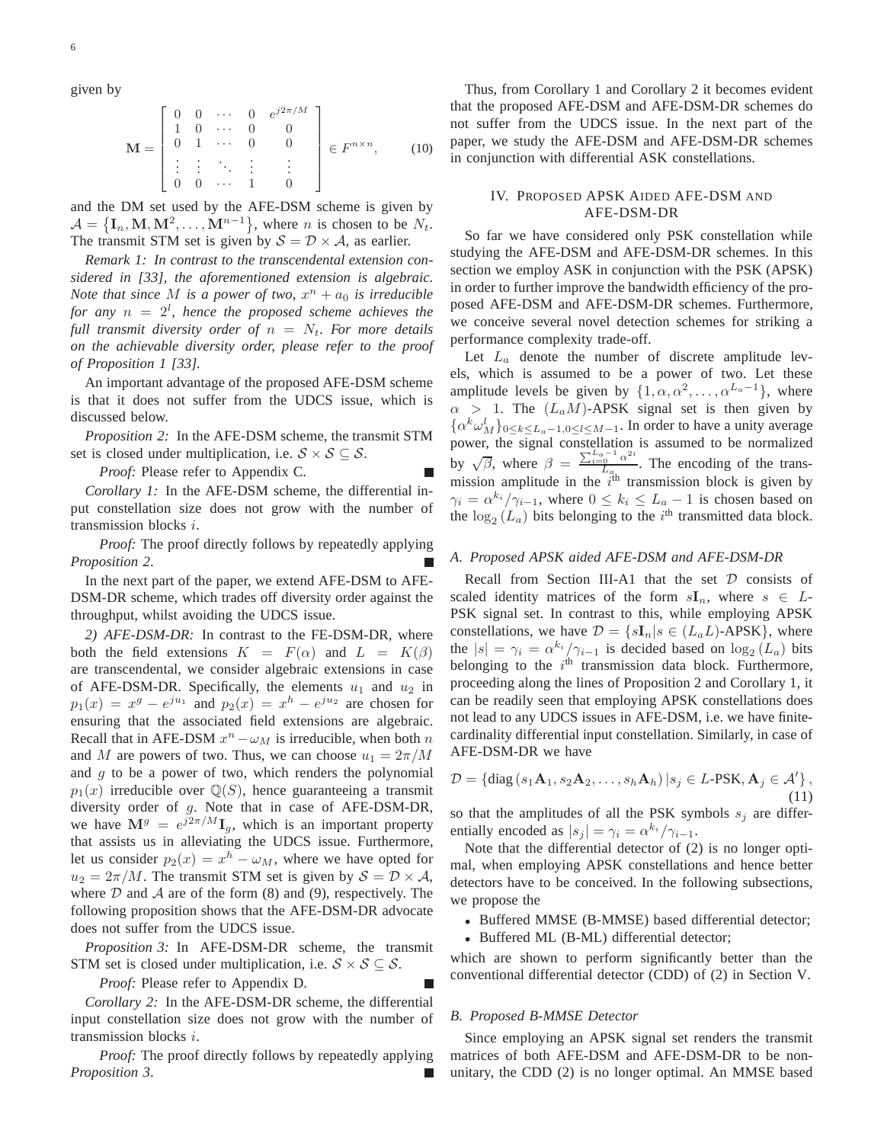given by

$$
\mathbf{M} = \begin{bmatrix} 0 & 0 & \cdots & 0 & e^{j2\pi/M} \\ 1 & 0 & \cdots & 0 & 0 \\ 0 & 1 & \cdots & 0 & 0 \\ \vdots & \vdots & \ddots & \vdots & \vdots \\ 0 & 0 & \cdots & 1 & 0 \end{bmatrix} \in F^{n \times n}, \qquad (10)
$$

and the DM set used by the AFE-DSM scheme is given by  $A = \{\mathbf{I}_n, \mathbf{M}, \mathbf{M}^2, \dots, \mathbf{M}^{n-1}\}\,$ , where *n* is chosen to be  $N_t$ . The transmit STM set is given by  $S = \mathcal{D} \times \mathcal{A}$ , as earlier.

*Remark 1: In contrast to the transcendental extension considered in [33], the aforementioned extension is algebraic. Note that since*  $M$  *is a power of two,*  $x^n + a_0$  *is irreducible for any* n = 2<sup>l</sup> *, hence the proposed scheme achieves the full transmit diversity order of*  $n = N_t$ *. For more details on the achievable diversity order, please refer to the proof of Proposition 1 [33].*

An important advantage of the proposed AFE-DSM scheme is that it does not suffer from the UDCS issue, which is discussed below.

*Proposition 2:* In the AFE-DSM scheme, the transmit STM set is closed under multiplication, i.e.  $S \times S \subseteq S$ .

*Proof:* Please refer to Appendix C.

*Corollary 1:* In the AFE-DSM scheme, the differential input constellation size does not grow with the number of transmission blocks i.

*Proof:* The proof directly follows by repeatedly applying *Proposition 2*.

In the next part of the paper, we extend AFE-DSM to AFE-DSM-DR scheme, which trades off diversity order against the throughput, whilst avoiding the UDCS issue.

*2) AFE-DSM-DR:* In contrast to the FE-DSM-DR, where both the field extensions  $K = F(\alpha)$  and  $L = K(\beta)$ are transcendental, we consider algebraic extensions in case of AFE-DSM-DR. Specifically, the elements  $u_1$  and  $u_2$  in  $p_1(x) = x^g - e^{ju_1}$  and  $p_2(x) = x^h - e^{ju_2}$  are chosen for ensuring that the associated field extensions are algebraic. Recall that in AFE-DSM  $x^n - \omega_M$  is irreducible, when both n and M are powers of two. Thus, we can choose  $u_1 = 2\pi/M$ and  $q$  to be a power of two, which renders the polynomial  $p_1(x)$  irreducible over  $\mathbb{Q}(S)$ , hence guaranteeing a transmit diversity order of g. Note that in case of AFE-DSM-DR, we have  $\mathbf{M}^g = e^{j2\pi/M} \mathbf{I}_g$ , which is an important property that assists us in alleviating the UDCS issue. Furthermore, let us consider  $p_2(x) = x^h - \omega_M$ , where we have opted for  $u_2 = 2\pi/M$ . The transmit STM set is given by  $S = \mathcal{D} \times \mathcal{A}$ , where  $D$  and  $A$  are of the form (8) and (9), respectively. The following proposition shows that the AFE-DSM-DR advocate does not suffer from the UDCS issue.

*Proposition 3:* In AFE-DSM-DR scheme, the transmit STM set is closed under multiplication, i.e.  $S \times S \subseteq S$ .

*Proof:* Please refer to Appendix D.

*Corollary 2:* In the AFE-DSM-DR scheme, the differential input constellation size does not grow with the number of transmission blocks i.

*Proof:* The proof directly follows by repeatedly applying *Proposition 3*.

Thus, from Corollary 1 and Corollary 2 it becomes evident that the proposed AFE-DSM and AFE-DSM-DR schemes do not suffer from the UDCS issue. In the next part of the paper, we study the AFE-DSM and AFE-DSM-DR schemes in conjunction with differential ASK constellations.

# IV. PROPOSED APSK AIDED AFE-DSM AND AFE-DSM-DR

So far we have considered only PSK constellation while studying the AFE-DSM and AFE-DSM-DR schemes. In this section we employ ASK in conjunction with the PSK (APSK) in order to further improve the bandwidth efficiency of the proposed AFE-DSM and AFE-DSM-DR schemes. Furthermore, we conceive several novel detection schemes for striking a performance complexity trade-off.

Let  $L_a$  denote the number of discrete amplitude levels, which is assumed to be a power of two. Let these amplitude levels be given by  $\{1, \alpha, \alpha^2, \dots, \alpha^{L_a-1}\}$ , where  $\alpha$  > 1. The  $(L_a M)$ -APSK signal set is then given by  $\{\alpha^k \omega_M^l\}_{0 \leq k \leq L_a - 1, 0 \leq l \leq M-1}$ . In order to have a unity average power, the signal constellation is assumed to be normalized by  $\sqrt{\beta}$ , where  $\beta = \frac{\sum_{i=0}^{L_a-1} \alpha^{2i}}{L_a}$  $\frac{10}{L_a}$ . The encoding of the transmission amplitude in the  $i^{\text{th}}$  transmission block is given by  $\gamma_i = \alpha^{k_i} / \gamma_{i-1}$ , where  $0 \le k_i \le L_a - 1$  is chosen based on the  $\log_2(L_a)$  bits belonging to the i<sup>th</sup> transmitted data block.

## *A. Proposed APSK aided AFE-DSM and AFE-DSM-DR*

Recall from Section III-A1 that the set  $D$  consists of scaled identity matrices of the form  $sI_n$ , where  $s \in L$ -PSK signal set. In contrast to this, while employing APSK constellations, we have  $\mathcal{D} = \{sI_n | s \in (L_aL)$ -APSK $\}$ , where the  $|s| = \gamma_i = \alpha^{k_i} / \gamma_{i-1}$  is decided based on  $\log_2(L_a)$  bits belonging to the  $i<sup>th</sup>$  transmission data block. Furthermore, proceeding along the lines of Proposition 2 and Corollary 1, it can be readily seen that employing APSK constellations does not lead to any UDCS issues in AFE-DSM, i.e. we have finitecardinality differential input constellation. Similarly, in case of AFE-DSM-DR we have

$$
\mathcal{D} = \{ \text{diag}\left(s_1 \mathbf{A}_1, s_2 \mathbf{A}_2, \dots, s_h \mathbf{A}_h\right) | s_j \in L\text{-PSK}, \mathbf{A}_j \in \mathcal{A}' \},\tag{11}
$$

so that the amplitudes of all the PSK symbols  $s_i$  are differentially encoded as  $|s_j| = \gamma_i = \alpha^{k_i}/\gamma_{i-1}$ .

Note that the differential detector of (2) is no longer optimal, when employing APSK constellations and hence better detectors have to be conceived. In the following subsections, we propose the

- Buffered MMSE (B-MMSE) based differential detector;
- Buffered ML (B-ML) differential detector;

which are shown to perform significantly better than the conventional differential detector (CDD) of (2) in Section V.

#### *B. Proposed B-MMSE Detector*

Since employing an APSK signal set renders the transmit matrices of both AFE-DSM and AFE-DSM-DR to be nonunitary, the CDD (2) is no longer optimal. An MMSE based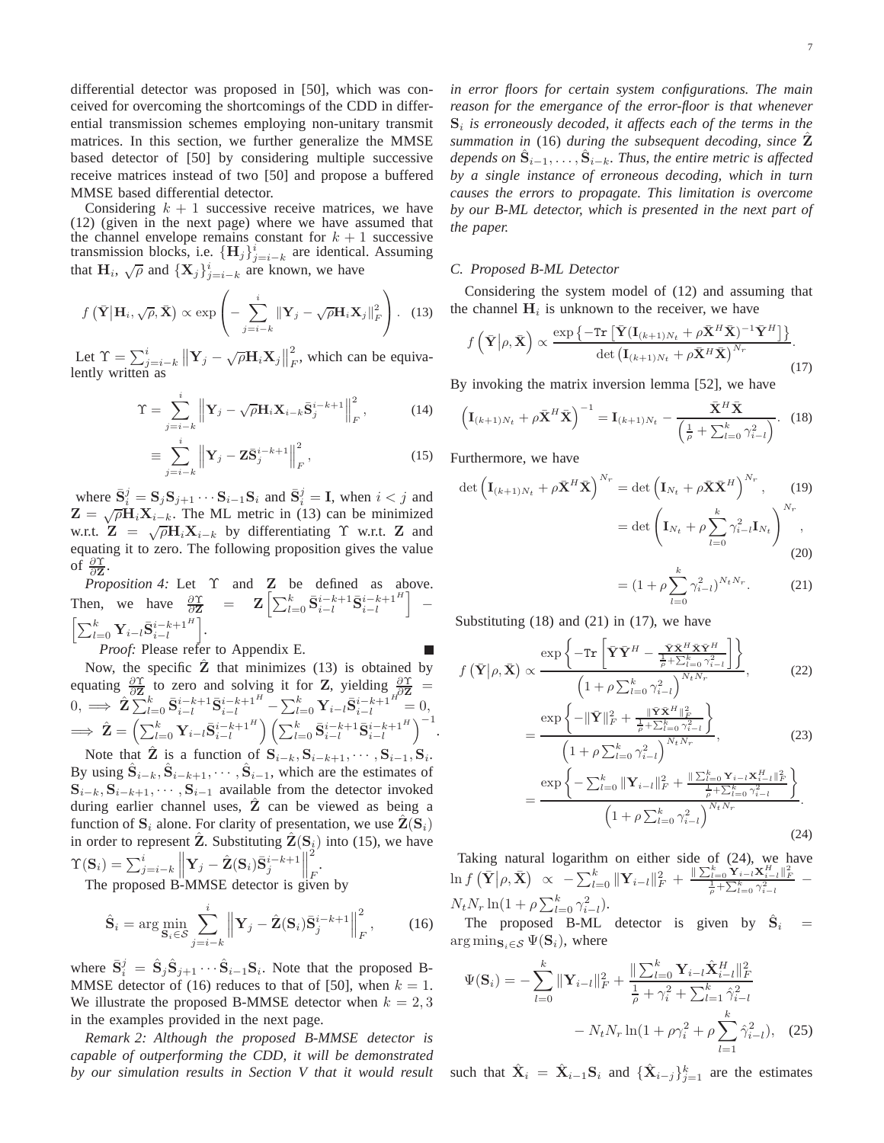differential detector was proposed in [50], which was conceived for overcoming the shortcomings of the CDD in differential transmission schemes employing non-unitary transmit matrices. In this section, we further generalize the MMSE based detector of [50] by considering multiple successive receive matrices instead of two [50] and propose a buffered MMSE based differential detector.

Considering  $k + 1$  successive receive matrices, we have (12) (given in the next page) where we have assumed that the channel envelope remains constant for  $k + 1$  successive transmission blocks, i.e.  $\{H_j\}_{j=i-k}^i$  are identical. Assuming that  $H_i$ ,  $\sqrt{\rho}$  and  $\{X_j\}_{j=i-k}^i$  are known, we have

$$
f\left(\bar{\mathbf{Y}}\big|\mathbf{H}_i,\sqrt{\rho},\bar{\mathbf{X}}\right) \propto \exp\left(-\sum_{j=i-k}^i \|\mathbf{Y}_j-\sqrt{\rho}\mathbf{H}_i\mathbf{X}_j\|_F^2\right).
$$
 (13)

Let  $\Upsilon = \sum_{j=i-k}^{i} \left\| \mathbf{Y}_j - \sqrt{\rho} \mathbf{H}_i \mathbf{X}_j \right\|_F^2$  $\sum_{F}$ , which can be equivalently written as

$$
\Upsilon = \sum_{j=i-k}^{i} \left\| \mathbf{Y}_{j} - \sqrt{\rho} \mathbf{H}_{i} \mathbf{X}_{i-k} \bar{\mathbf{S}}_{j}^{i-k+1} \right\|_{F}^{2}, \tag{14}
$$

$$
\equiv \sum_{j=i-k}^{i} \left\| \mathbf{Y}_{j} - \mathbf{Z} \bar{\mathbf{S}}_{j}^{i-k+1} \right\|_{F}^{2}, \tag{15}
$$

where  $\bar{S}_i^j = S_j S_{j+1} \cdots S_{i-1} S_i$  and  $\bar{S}_i^j = I$ , when  $i < j$  and  $\mathbf{Z} = \sqrt{\rho} \mathbf{H}_i \mathbf{X}_{i-k}$ . The ML metric in (13) can be minimized w.r.t.  $\mathbf{Z} = \sqrt{\rho} \mathbf{H}_i \mathbf{X}_{i-k}$  by differentiating  $\Upsilon$  w.r.t.  $\mathbf{Z}$  and equating it to zero. The following proposition gives the value of  $\frac{\partial \Upsilon}{\partial \mathbf{Z}}$ .

*Proposition 4:* Let Υ and **Z** be defined as above. Then, we have  $\frac{\partial \Upsilon}{\partial \mathbf{Z}} = \mathbf{Z} \left[ \sum_{l=0}^{k} \bar{\mathbf{S}}_{i-l}^{i-k+1} \bar{\mathbf{S}}_{i-l}^{i-k+1} \right]$ i −  $\left[\sum_{l=0}^k \mathbf{Y}_{i-l}\bar{\mathbf{S}}_{i-l}^{i-k+1^H}\right.$ i . *Proof:* Please refer to Appendix E.

Now, the specific  $\hat{Z}$  that minimizes (13) is obtained by equating  $\frac{\partial \Upsilon}{\partial \mathbf{Z}}$  to zero and solving it for Z, yielding  $\frac{\partial \Upsilon}{\partial \mathbf{Z}}$  =  $0, \implies \hat{\mathbf{Z}} \sum_{l=0}^{\infty} \bar{\mathbf{S}}_{i-l}^{i-k+1} \bar{\mathbf{S}}_{i-l}^{i-k+1} - \sum_{l=0}^{k} \mathbf{Y}_{i-l} \bar{\mathbf{S}}_{i-l}^{i-k+1} \equiv 0,$  $\implies \hat{\mathbf{Z}} = \left(\sum_{l=0}^k \mathbf{Y}_{i-l} \bar{\mathbf{S}}_{i-l}^{i-k+1^H}\right) \left(\sum_{l=0}^k \bar{\mathbf{S}}_{i-l}^{i-k+1} \bar{\mathbf{S}}_{i-l}^{i-k+1^H}\right)$  $\Big)^{-1}$ .

Note that  $\hat{\mathbf{Z}}$  is a function of  $\mathbf{S}_{i-k}$ ,  $\mathbf{S}_{i-k+1}$ ,  $\dots$ ,  $\mathbf{S}_{i-1}$ ,  $\mathbf{S}_{i}$ . By using  $\hat{S}_{i-k}, \hat{S}_{i-k+1}, \cdots, \hat{S}_{i-1}$ , which are the estimates of  $S_{i-k}, S_{i-k+1}, \cdots, S_{i-1}$  available from the detector invoked during earlier channel uses, Z can be viewed as being a function of  $S_i$  alone. For clarity of presentation, we use  $\mathbf{Z}(\mathbf{S}_i)$ in order to represent  $\hat{Z}$ . Substituting  $\hat{Z}(S_i)$  into (15), we have  $\Upsilon(\mathbf{S}_i) = \sum_{j=i-k}^{i}$  $\left\| \mathbf{Y}_j - \hat{\mathbf{Z}}(\mathbf{S}_i) \bar{\mathbf{S}}_j^{i-k+1} \right\|$ 2 F .

The proposed B-MMSE detector is given by

$$
\hat{\mathbf{S}}_i = \arg\min_{\mathbf{S}_i \in \mathcal{S}} \sum_{j=i-k}^i \left\| \mathbf{Y}_j - \hat{\mathbf{Z}}(\mathbf{S}_i) \bar{\mathbf{S}}_j^{i-k+1} \right\|_F^2, \qquad (16)
$$

where  $\bar{S}_i^j = \hat{S}_j \hat{S}_{j+1} \cdots \hat{S}_{i-1} S_i$ . Note that the proposed B-MMSE detector of (16) reduces to that of [50], when  $k = 1$ . We illustrate the proposed B-MMSE detector when  $k = 2, 3$ in the examples provided in the next page.

*Remark 2: Although the proposed B-MMSE detector is capable of outperforming the CDD, it will be demonstrated by our simulation results in Section V that it would result* 7

*reason for the emergance of the error-floor is that whenever*  $S_i$  *is erroneously decoded, it affects each of the terms in the summation in* (16) *during the subsequent decoding, since* Z  $de^{j}$  depends on  $\hat{S}_{i-1}, \ldots, \hat{S}_{i-k}$ . Thus, the entire metric is affected *by a single instance of erroneous decoding, which in turn causes the errors to propagate. This limitation is overcome by our B-ML detector, which is presented in the next part of the paper.*

## *C. Proposed B-ML Detector*

Considering the system model of (12) and assuming that the channel  $H_i$  is unknown to the receiver, we have

$$
f\left(\bar{\mathbf{Y}}\big|\rho,\bar{\mathbf{X}}\right) \propto \frac{\exp\left\{-\text{Tr}\left[\bar{\mathbf{Y}}(\mathbf{I}_{(k+1)N_t} + \rho \bar{\mathbf{X}}^H \bar{\mathbf{X}})^{-1} \bar{\mathbf{Y}}^H\right]\right\}}{\det\left(\mathbf{I}_{(k+1)N_t} + \rho \bar{\mathbf{X}}^H \bar{\mathbf{X}}\right)^{N_r}}.
$$
\n(17)

By invoking the matrix inversion lemma [52], we have

$$
\left(\mathbf{I}_{(k+1)N_t} + \rho \bar{\mathbf{X}}^H \bar{\mathbf{X}}\right)^{-1} = \mathbf{I}_{(k+1)N_t} - \frac{\bar{\mathbf{X}}^H \bar{\mathbf{X}}}{\left(\frac{1}{\rho} + \sum_{l=0}^k \gamma_{i-l}^2\right)}.
$$
 (18)

Furthermore, we have

$$
\det \left( \mathbf{I}_{(k+1)N_t} + \rho \bar{\mathbf{X}}^H \bar{\mathbf{X}} \right)^{N_r} = \det \left( \mathbf{I}_{N_t} + \rho \bar{\mathbf{X}} \bar{\mathbf{X}}^H \right)^{N_r}, \qquad (19)
$$

$$
= \det \left( \mathbf{I}_{N_t} + \rho \sum_{l=0}^k \gamma_{i-l}^2 \mathbf{I}_{N_t} \right)^{N_r}, \qquad (20)
$$

$$
= (1 + \rho \sum_{l=0}^{k} \gamma_{i-l}^2)^{N_t N_r}.
$$
 (21)

Substituting  $(18)$  and  $(21)$  in  $(17)$ , we have

$$
f\left(\bar{\mathbf{Y}}\middle|\rho,\bar{\mathbf{X}}\right) \propto \frac{\exp\left\{-\text{Tr}\left[\bar{\mathbf{Y}}\bar{\mathbf{Y}}^{H} - \frac{\bar{\mathbf{Y}}\bar{\mathbf{X}}^{H}\bar{\mathbf{X}}\bar{\mathbf{Y}}^{H}}{\frac{1}{\rho} + \sum_{l=0}^{k} \gamma_{i-l}^{2}}\right]\right\}}{\left(1 + \rho \sum_{l=0}^{k} \gamma_{i-l}^{2}\right)^{N_{t}N_{r}}},\tag{22}
$$

$$
= \frac{\exp\left\{-\|\bar{\mathbf{Y}}\|_{F}^{2} + \frac{\|\bar{\mathbf{Y}}\bar{\mathbf{X}}^{H}\|_{F}^{2}}{\frac{1}{\rho} + \sum_{l=0}^{k} \gamma_{i-l}^{2}}\right\}}{\left(1 + \rho \sum_{l=0}^{k} \gamma_{i-l}^{2}\right)^{N_{t}N_{r}}},\tag{23}
$$

$$
= \frac{\exp\left\{-\sum_{l=0}^{k} \|\mathbf{Y}_{i-l}\|_{F}^{2} + \frac{\|\sum_{l=0}^{k} \mathbf{Y}_{i-l} \mathbf{X}_{i-l}^{H}\|_{F}^{2}}{\frac{1}{\rho} + \sum_{l=0}^{k} \gamma_{i-l}^{2}}\right\}}{\left(1 + \rho \sum_{l=0}^{k} \gamma_{i-l}^{2}\right)^{N_{t}N_{r}}}
$$
\n(24)

Taking natural logarithm on either side of (24), we have  $\ln f\left(\bar{\mathbf{Y}}\big|\rho,\bar{\mathbf{X}}\right) \,\,\propto\,\,\, -\sum_{l=0}^{k} \|\mathbf{Y}_{i-l}\|_F^2 \,+\, \frac{\|\sum_{l=0}^{k} \mathbf{Y}_{i-l}\mathbf{X}_{i-l}^H\|_F^2}{\frac{1}{\rho}+\sum_{l=0}^{k} \gamma_{i-l}^2} \,\, N_t N_r \ln(1 + \rho \sum_{l=0}^k \gamma_{i-l}^2).$ 

The proposed B-ML detector is given by  $\hat{S}_i$  $\equiv$  $\arg \min_{\mathbf{S}_i \in \mathcal{S}} \Psi(\mathbf{S}_i)$ , where

$$
\Psi(\mathbf{S}_{i}) = -\sum_{l=0}^{k} \|\mathbf{Y}_{i-l}\|_{F}^{2} + \frac{\|\sum_{l=0}^{k} \mathbf{Y}_{i-l} \hat{\mathbf{X}}_{i-l}^{H}\|_{F}^{2}}{\frac{1}{\rho} + \gamma_{i}^{2} + \sum_{l=1}^{k} \hat{\gamma}_{i-l}^{2}} - N_{t} N_{r} \ln(1 + \rho \gamma_{i}^{2} + \rho \sum_{l=1}^{k} \hat{\gamma}_{i-l}^{2}), \quad (25)
$$

such that  $\hat{\mathbf{X}}_i = \hat{\mathbf{X}}_{i-1} \mathbf{S}_i$  and  $\{\hat{\mathbf{X}}_{i-j}\}_{j=1}^k$  are the estimates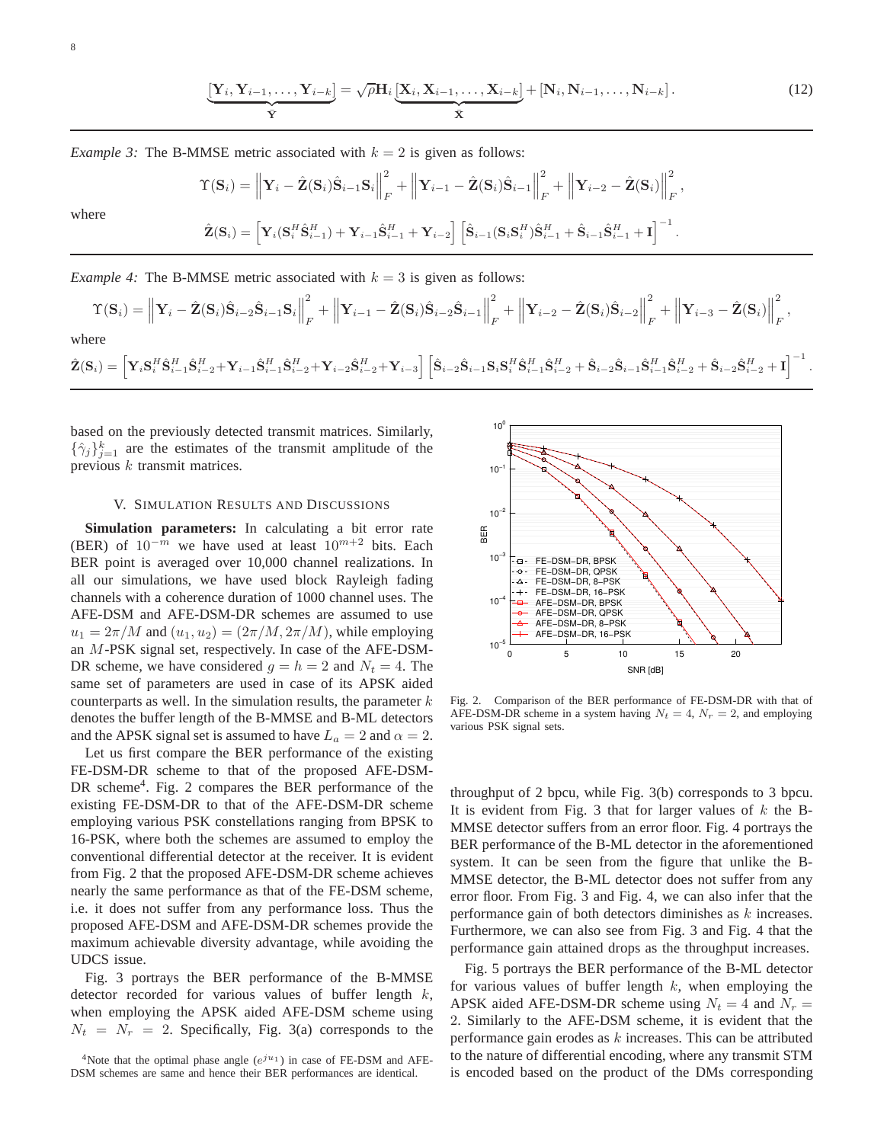$$
\underbrace{\left[\mathbf{Y}_{i}, \mathbf{Y}_{i-1}, \ldots, \mathbf{Y}_{i-k}\right]}_{\bar{\mathbf{Y}}} = \sqrt{\rho} \mathbf{H}_{i} \underbrace{\left[\mathbf{X}_{i}, \mathbf{X}_{i-1}, \ldots, \mathbf{X}_{i-k}\right]}_{\bar{\mathbf{X}}} + \left[\mathbf{N}_{i}, \mathbf{N}_{i-1}, \ldots, \mathbf{N}_{i-k}\right].
$$
\n(12)

*Example 3:* The B-MMSE metric associated with  $k = 2$  is given as follows:

$$
\begin{split} \Upsilon(\mathbf{S}_{i}) & = \left\| \mathbf{Y}_{i} - \hat{\mathbf{Z}}(\mathbf{S}_{i}) \hat{\mathbf{S}}_{i-1} \mathbf{S}_{i} \right\|_{F}^{2} + \left\| \mathbf{Y}_{i-1} - \hat{\mathbf{Z}}(\mathbf{S}_{i}) \hat{\mathbf{S}}_{i-1} \right\|_{F}^{2} + \left\| \mathbf{Y}_{i-2} - \hat{\mathbf{Z}}(\mathbf{S}_{i}) \right\|_{F}^{2}, \\ \hat{\mathbf{Z}}(\mathbf{S}_{i}) & = \left[ \mathbf{Y}_{i}(\mathbf{S}_{i}^{H} \hat{\mathbf{S}}_{i-1}^{H}) + \mathbf{Y}_{i-1} \hat{\mathbf{S}}_{i-1}^{H} + \mathbf{Y}_{i-2} \right] \left[ \hat{\mathbf{S}}_{i-1}(\mathbf{S}_{i} \mathbf{S}_{i}^{H}) \hat{\mathbf{S}}_{i-1}^{H} + \hat{\mathbf{S}}_{i-1} \hat{\mathbf{S}}_{i-1}^{H} + \mathbf{I} \right]^{-1}. \end{split}
$$

where

*Example 4:* The B-MMSE metric associated with  $k = 3$  is given as follows:

$$
\begin{split} \Upsilon(\textbf{S}_i) = \left\| \textbf{Y}_i - \hat{\textbf{Z}}(\textbf{S}_i) \hat{\textbf{S}}_{i-2} \hat{\textbf{S}}_{i-1} \textbf{S}_i \right\|_F^2 + \left\| \textbf{Y}_{i-1} - \hat{\textbf{Z}}(\textbf{S}_i) \hat{\textbf{S}}_{i-2} \hat{\textbf{S}}_{i-1} \right\|_F^2 + \left\| \textbf{Y}_{i-2} - \hat{\textbf{Z}}(\textbf{S}_i) \hat{\textbf{S}}_{i-2} \right\|_F^2 + \left\| \textbf{Y}_{i-3} - \hat{\textbf{Z}}(\textbf{S}_i) \right\|_F^2, \\ \text{where}\\ \hat{\textbf{Z}}(\textbf{S}_i) = \left[ \textbf{Y}_i \textbf{S}_i^H \hat{\textbf{S}}_{i-1}^H \hat{\textbf{S}}_{i-2}^H + \textbf{Y}_{i-1} \hat{\textbf{S}}_{i-2}^H + \textbf{Y}_{i-2} \hat{\textbf{S}}_{i-2}^H + \textbf{Y}_{i-3} \right] \left[ \hat{\textbf{S}}_{i-2} \hat{\textbf{S}}_{i-1} \textbf{S}_i \textbf{S}_i^H \hat{\textbf{S}}_{i-1}^H \hat{\textbf{S}}_{i-2}^H + \hat{\textbf{S}}_{i-2} \hat{\textbf{S}}_{i-1} \hat{\textbf{S}}_{i-1}^H \hat{\textbf{S}}_{i-2}^H + \hat{\textbf{S}}_{i-2} \hat{\textbf{S}}_{i-2}^H + \hat{\textbf{S}}_{i-2} \hat{\textbf{S}}_{i-2}^H + \hat{\textbf{S}}_{i-2} \hat{\textbf{S}}_{i-2}^H + \textbf{I} \right]^{-1}. \end{split}
$$

based on the previously detected transmit matrices. Similarly,  $\{\hat{\gamma}_j\}_{j=1}^k$  are the estimates of the transmit amplitude of the previous  $k$  transmit matrices.

## V. SIMULATION RESULTS AND DISCUSSIONS

**Simulation parameters:** In calculating a bit error rate (BER) of  $10^{-m}$  we have used at least  $10^{m+2}$  bits. Each BER point is averaged over 10,000 channel realizations. In all our simulations, we have used block Rayleigh fading channels with a coherence duration of 1000 channel uses. The AFE-DSM and AFE-DSM-DR schemes are assumed to use  $u_1 = 2\pi/M$  and  $(u_1, u_2) = (2\pi/M, 2\pi/M)$ , while employing an M-PSK signal set, respectively. In case of the AFE-DSM-DR scheme, we have considered  $g = h = 2$  and  $N_t = 4$ . The same set of parameters are used in case of its APSK aided counterparts as well. In the simulation results, the parameter  $k$ denotes the buffer length of the B-MMSE and B-ML detectors and the APSK signal set is assumed to have  $L_a = 2$  and  $\alpha = 2$ .

Let us first compare the BER performance of the existing FE-DSM-DR scheme to that of the proposed AFE-DSM-DR scheme<sup>4</sup>. Fig. 2 compares the BER performance of the existing FE-DSM-DR to that of the AFE-DSM-DR scheme employing various PSK constellations ranging from BPSK to 16-PSK, where both the schemes are assumed to employ the conventional differential detector at the receiver. It is evident from Fig. 2 that the proposed AFE-DSM-DR scheme achieves nearly the same performance as that of the FE-DSM scheme, i.e. it does not suffer from any performance loss. Thus the proposed AFE-DSM and AFE-DSM-DR schemes provide the maximum achievable diversity advantage, while avoiding the UDCS issue.

Fig. 3 portrays the BER performance of the B-MMSE detector recorded for various values of buffer length  $k$ , when employing the APSK aided AFE-DSM scheme using  $N_t = N_r = 2$ . Specifically, Fig. 3(a) corresponds to the

<sup>4</sup>Note that the optimal phase angle  $(e^{ju_1})$  in case of FE-DSM and AFE-DSM schemes are same and hence their BER performances are identical.



Fig. 2. Comparison of the BER performance of FE-DSM-DR with that of AFE-DSM-DR scheme in a system having  $N_t = 4$ ,  $N_r = 2$ , and employing various PSK signal sets.

throughput of 2 bpcu, while Fig. 3(b) corresponds to 3 bpcu. It is evident from Fig. 3 that for larger values of  $k$  the B-MMSE detector suffers from an error floor. Fig. 4 portrays the BER performance of the B-ML detector in the aforementioned system. It can be seen from the figure that unlike the B-MMSE detector, the B-ML detector does not suffer from any error floor. From Fig. 3 and Fig. 4, we can also infer that the performance gain of both detectors diminishes as  $k$  increases. Furthermore, we can also see from Fig. 3 and Fig. 4 that the performance gain attained drops as the throughput increases.

Fig. 5 portrays the BER performance of the B-ML detector for various values of buffer length  $k$ , when employing the APSK aided AFE-DSM-DR scheme using  $N_t = 4$  and  $N_r =$ 2. Similarly to the AFE-DSM scheme, it is evident that the performance gain erodes as  $k$  increases. This can be attributed to the nature of differential encoding, where any transmit STM is encoded based on the product of the DMs corresponding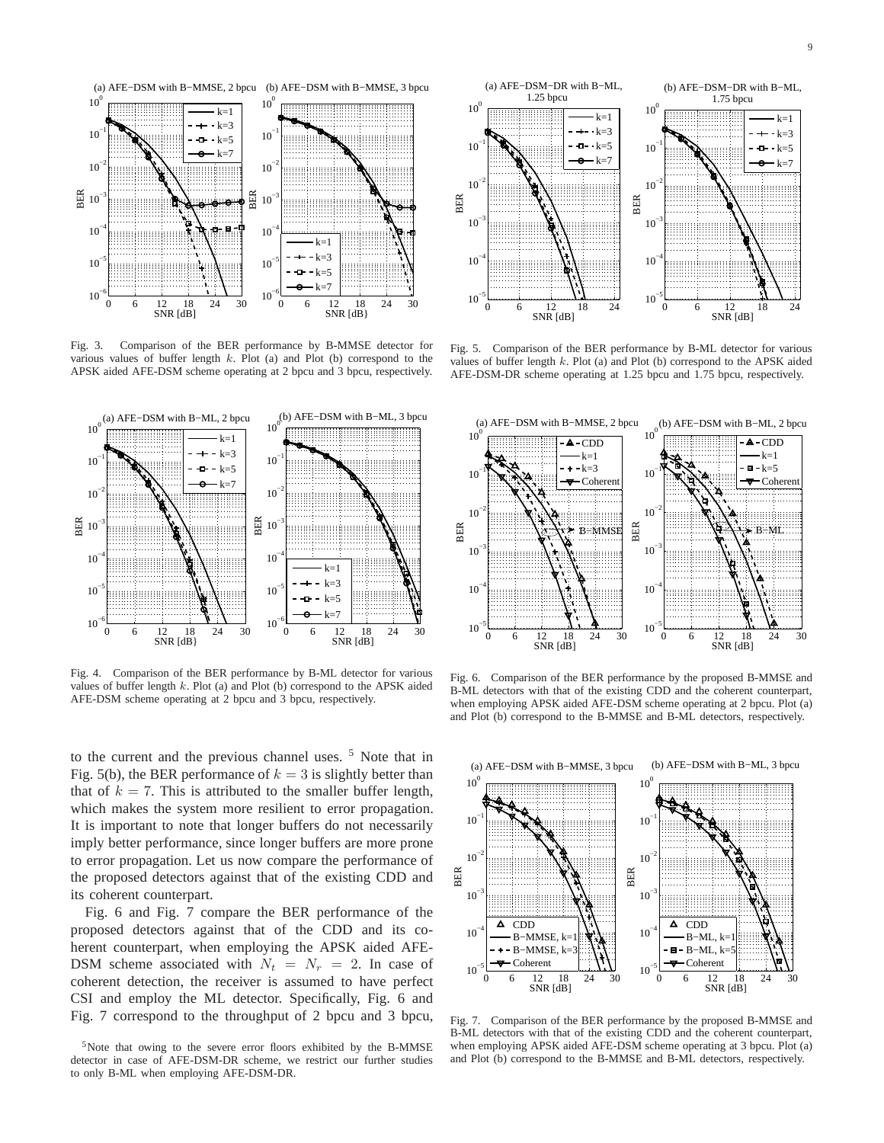

Fig. 3. Comparison of the BER performance by B-MMSE detector for various values of buffer length  $k$ . Plot (a) and Plot (b) correspond to the APSK aided AFE-DSM scheme operating at 2 bpcu and 3 bpcu, respectively.

![](_page_8_Figure_3.jpeg)

Fig. 4. Comparison of the BER performance by B-ML detector for various values of buffer length  $k$ . Plot (a) and Plot (b) correspond to the APSK aided AFE-DSM scheme operating at 2 bpcu and 3 bpcu, respectively.

to the current and the previous channel uses. <sup>5</sup> Note that in Fig. 5(b), the BER performance of  $k = 3$  is slightly better than that of  $k = 7$ . This is attributed to the smaller buffer length, which makes the system more resilient to error propagation. It is important to note that longer buffers do not necessarily imply better performance, since longer buffers are more prone to error propagation. Let us now compare the performance of the proposed detectors against that of the existing CDD and its coherent counterpart.

Fig. 6 and Fig. 7 compare the BER performance of the proposed detectors against that of the CDD and its coherent counterpart, when employing the APSK aided AFE-DSM scheme associated with  $N_t = N_r = 2$ . In case of coherent detection, the receiver is assumed to have perfect CSI and employ the ML detector. Specifically, Fig. 6 and Fig. 7 correspond to the throughput of 2 bpcu and 3 bpcu,

<sup>5</sup>Note that owing to the severe error floors exhibited by the B-MMSE detector in case of AFE-DSM-DR scheme, we restrict our further studies to only B-ML when employing AFE-DSM-DR.

![](_page_8_Figure_8.jpeg)

Fig. 5. Comparison of the BER performance by B-ML detector for various values of buffer length  $k$ . Plot (a) and Plot (b) correspond to the APSK aided AFE-DSM-DR scheme operating at 1.25 bpcu and 1.75 bpcu, respectively.

![](_page_8_Figure_10.jpeg)

Fig. 6. Comparison of the BER performance by the proposed B-MMSE and B-ML detectors with that of the existing CDD and the coherent counterpart, when employing APSK aided AFE-DSM scheme operating at 2 bpcu. Plot (a) and Plot (b) correspond to the B-MMSE and B-ML detectors, respectively.

![](_page_8_Figure_12.jpeg)

Fig. 7. Comparison of the BER performance by the proposed B-MMSE and B-ML detectors with that of the existing CDD and the coherent counterpart, when employing APSK aided AFE-DSM scheme operating at 3 bpcu. Plot (a) and Plot (b) correspond to the B-MMSE and B-ML detectors, respectively.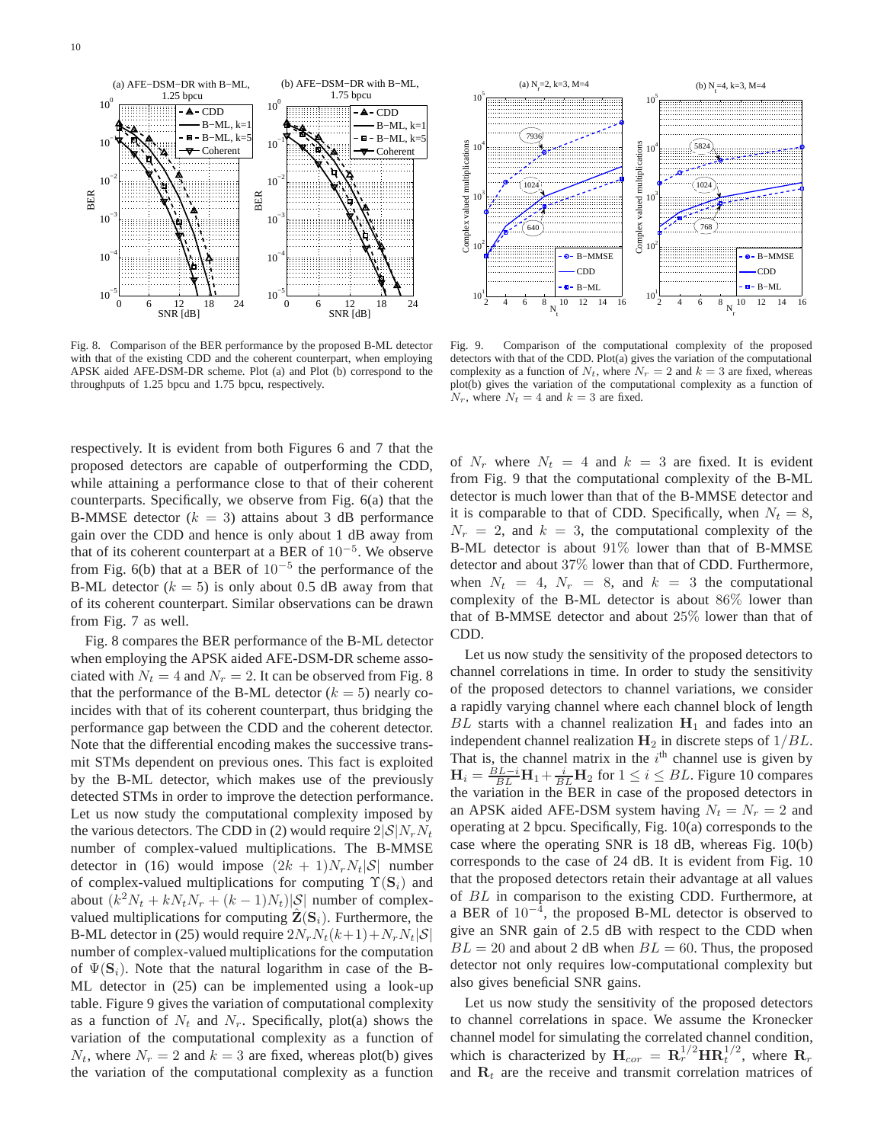![](_page_9_Figure_1.jpeg)

Fig. 8. Comparison of the BER performance by the proposed B-ML detector with that of the existing CDD and the coherent counterpart, when employing APSK aided AFE-DSM-DR scheme. Plot (a) and Plot (b) correspond to the throughputs of 1.25 bpcu and 1.75 bpcu, respectively.

respectively. It is evident from both Figures 6 and 7 that the proposed detectors are capable of outperforming the CDD, while attaining a performance close to that of their coherent counterparts. Specifically, we observe from Fig. 6(a) that the B-MMSE detector  $(k = 3)$  attains about 3 dB performance gain over the CDD and hence is only about 1 dB away from that of its coherent counterpart at a BER of  $10^{-5}$ . We observe from Fig. 6(b) that at a BER of  $10^{-5}$  the performance of the B-ML detector  $(k = 5)$  is only about 0.5 dB away from that of its coherent counterpart. Similar observations can be drawn from Fig. 7 as well.

Fig. 8 compares the BER performance of the B-ML detector when employing the APSK aided AFE-DSM-DR scheme associated with  $N_t = 4$  and  $N_r = 2$ . It can be observed from Fig. 8 that the performance of the B-ML detector  $(k = 5)$  nearly coincides with that of its coherent counterpart, thus bridging the performance gap between the CDD and the coherent detector. Note that the differential encoding makes the successive transmit STMs dependent on previous ones. This fact is exploited by the B-ML detector, which makes use of the previously detected STMs in order to improve the detection performance. Let us now study the computational complexity imposed by the various detectors. The CDD in (2) would require  $2|\mathcal{S}|N_rN_t$ number of complex-valued multiplications. The B-MMSE detector in (16) would impose  $(2k + 1)N_rN_t|\mathcal{S}|$  number of complex-valued multiplications for computing  $\Upsilon(S_i)$  and about  $(k^2N_t + kN_tN_r + (k-1)N_t)|S|$  number of complexvalued multiplications for computing  $\mathbf{Z}(\mathbf{S}_i)$ . Furthermore, the B-ML detector in (25) would require  $2N_rN_t(k+1)+N_rN_t|\mathcal{S}|$ number of complex-valued multiplications for the computation of  $\Psi(\mathbf{S}_i)$ . Note that the natural logarithm in case of the B-ML detector in (25) can be implemented using a look-up table. Figure 9 gives the variation of computational complexity as a function of  $N_t$  and  $N_r$ . Specifically, plot(a) shows the variation of the computational complexity as a function of  $N_t$ , where  $N_r = 2$  and  $k = 3$  are fixed, whereas plot(b) gives the variation of the computational complexity as a function

![](_page_9_Figure_5.jpeg)

Fig. 9. Comparison of the computational complexity of the proposed detectors with that of the CDD. Plot(a) gives the variation of the computational complexity as a function of  $N_t$ , where  $N_r = 2$  and  $k = 3$  are fixed, whereas plot(b) gives the variation of the computational complexity as a function of  $N_r$ , where  $N_t = 4$  and  $k = 3$  are fixed.

of  $N_r$  where  $N_t = 4$  and  $k = 3$  are fixed. It is evident from Fig. 9 that the computational complexity of the B-ML detector is much lower than that of the B-MMSE detector and it is comparable to that of CDD. Specifically, when  $N_t = 8$ ,  $N_r = 2$ , and  $k = 3$ , the computational complexity of the B-ML detector is about 91% lower than that of B-MMSE detector and about 37% lower than that of CDD. Furthermore, when  $N_t = 4$ ,  $N_r = 8$ , and  $k = 3$  the computational complexity of the B-ML detector is about 86% lower than that of B-MMSE detector and about 25% lower than that of CDD.

Let us now study the sensitivity of the proposed detectors to channel correlations in time. In order to study the sensitivity of the proposed detectors to channel variations, we consider a rapidly varying channel where each channel block of length BL starts with a channel realization  $H_1$  and fades into an independent channel realization  $H_2$  in discrete steps of  $1/BL$ . That is, the channel matrix in the  $i<sup>th</sup>$  channel use is given by  $H_i = \frac{BL - i}{BL} H_1 + \frac{i}{BL} H_2$  for  $1 \le i \le BL$ . Figure 10 compares the variation in the BER in case of the proposed detectors in an APSK aided AFE-DSM system having  $N_t = N_r = 2$  and operating at 2 bpcu. Specifically, Fig. 10(a) corresponds to the case where the operating SNR is 18 dB, whereas Fig. 10(b) corresponds to the case of 24 dB. It is evident from Fig. 10 that the proposed detectors retain their advantage at all values of BL in comparison to the existing CDD. Furthermore, at a BER of 10−<sup>4</sup> , the proposed B-ML detector is observed to give an SNR gain of 2.5 dB with respect to the CDD when  $BL = 20$  and about 2 dB when  $BL = 60$ . Thus, the proposed detector not only requires low-computational complexity but also gives beneficial SNR gains.

Let us now study the sensitivity of the proposed detectors to channel correlations in space. We assume the Kronecker channel model for simulating the correlated channel condition, which is characterized by  $\mathbf{H}_{cor} = \mathbf{R}_r^{1/2} \mathbf{H} \mathbf{R}_t^{1/2}$ , where  $\mathbf{R}_r$ and  $\mathbf{R}_t$  are the receive and transmit correlation matrices of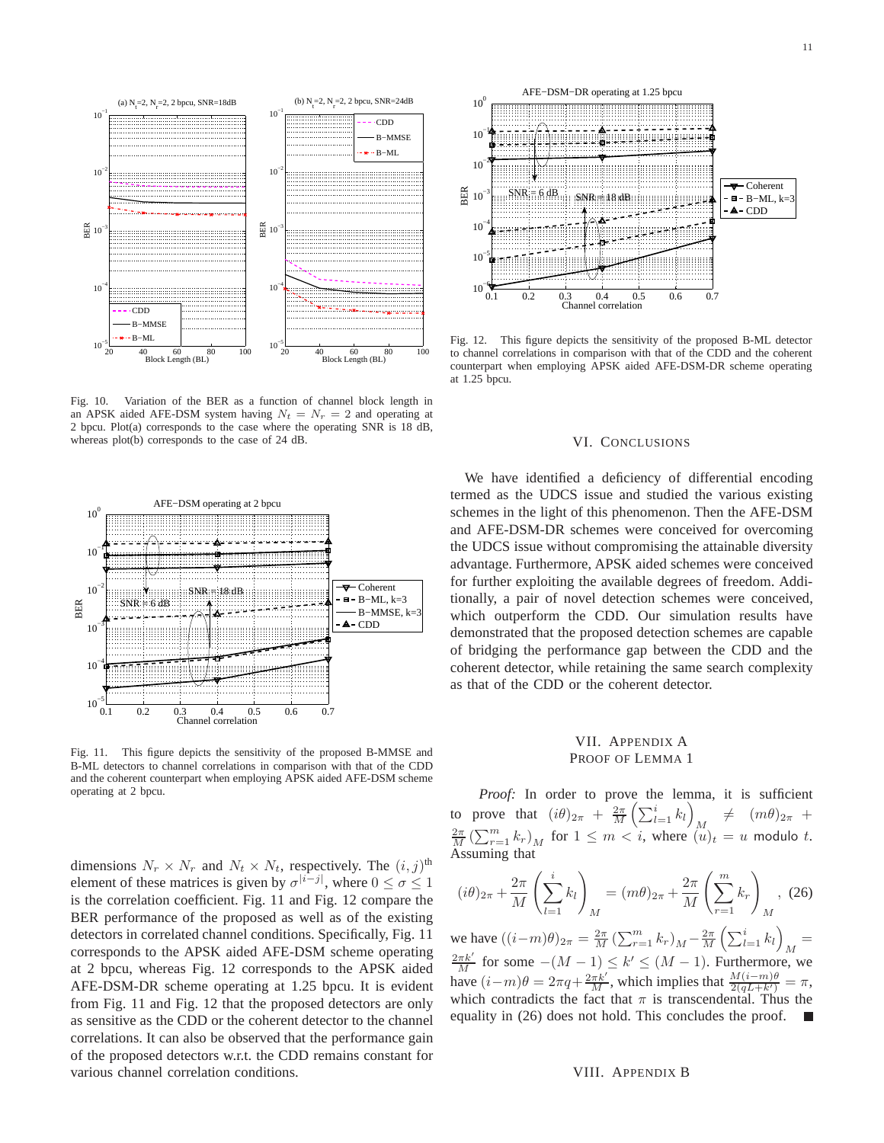![](_page_10_Figure_1.jpeg)

Fig. 10. Variation of the BER as a function of channel block length in an APSK aided AFE-DSM system having  $N_t = N_r = 2$  and operating at 2 bpcu. Plot(a) corresponds to the case where the operating SNR is 18 dB, whereas plot(b) corresponds to the case of 24 dB.

![](_page_10_Figure_3.jpeg)

Fig. 11. This figure depicts the sensitivity of the proposed B-MMSE and B-ML detectors to channel correlations in comparison with that of the CDD and the coherent counterpart when employing APSK aided AFE-DSM scheme operating at 2 bpcu.

dimensions  $N_r \times N_r$  and  $N_t \times N_t$ , respectively. The  $(i, j)$ <sup>th</sup> element of these matrices is given by  $\sigma^{|i-j|}$ , where  $0 \le \sigma \le 1$ is the correlation coefficient. Fig. 11 and Fig. 12 compare the BER performance of the proposed as well as of the existing detectors in correlated channel conditions. Specifically, Fig. 11 corresponds to the APSK aided AFE-DSM scheme operating at 2 bpcu, whereas Fig. 12 corresponds to the APSK aided AFE-DSM-DR scheme operating at 1.25 bpcu. It is evident from Fig. 11 and Fig. 12 that the proposed detectors are only as sensitive as the CDD or the coherent detector to the channel correlations. It can also be observed that the performance gain of the proposed detectors w.r.t. the CDD remains constant for various channel correlation conditions.

![](_page_10_Figure_6.jpeg)

Fig. 12. This figure depicts the sensitivity of the proposed B-ML detector to channel correlations in comparison with that of the CDD and the coherent counterpart when employing APSK aided AFE-DSM-DR scheme operating at 1.25 bpcu.

#### VI. CONCLUSIONS

We have identified a deficiency of differential encoding termed as the UDCS issue and studied the various existing schemes in the light of this phenomenon. Then the AFE-DSM and AFE-DSM-DR schemes were conceived for overcoming the UDCS issue without compromising the attainable diversity advantage. Furthermore, APSK aided schemes were conceived for further exploiting the available degrees of freedom. Additionally, a pair of novel detection schemes were conceived, which outperform the CDD. Our simulation results have demonstrated that the proposed detection schemes are capable of bridging the performance gap between the CDD and the coherent detector, while retaining the same search complexity as that of the CDD or the coherent detector.

# VII. APPENDIX A PROOF OF LEMMA 1

Proof: In order to prove the lemma, it is sufficient to prove that  $(i\theta)_{2\pi} + \frac{2\pi}{M} \left( \sum_{l=1}^i k_l \right)$ to prove that  $(i\theta)_{2\pi} + \frac{2\pi}{M} \left( \sum_{l=1}^{i} k_l \right)_{M} \neq (m\theta)_{2\pi} + \frac{2\pi}{M} \left( \sum_{r=1}^{m} k_r \right)_{M}$  for  $1 \leq m < i$ , where  $(u)_t = u$  modulo t. Assuming that

$$
(i\theta)_{2\pi} + \frac{2\pi}{M} \left( \sum_{l=1}^{i} k_l \right)_M = (m\theta)_{2\pi} + \frac{2\pi}{M} \left( \sum_{r=1}^{m} k_r \right)_M, \tag{26}
$$

we have  $((i-m)\theta)_{2\pi} = \frac{2\pi}{M} \left( \sum_{r=1}^{m} k_r \right)_M - \frac{2\pi}{M} \left( \sum_{l=1}^{i} k_l \right)_M =$  $\frac{2\pi k'}{M}$  for some  $-(M-1) \le k' \le (M-1)$ . Furthermore, we have  $(i-m)\theta = 2\pi q + \frac{2\pi k'}{M}$ , which implies that  $\frac{M(i-m)\theta}{2(qL+k')} = \pi$ , which contradicts the fact that  $\pi$  is transcendental. Thus the equality in (26) does not hold. This concludes the proof.

#### VIII. APPENDIX B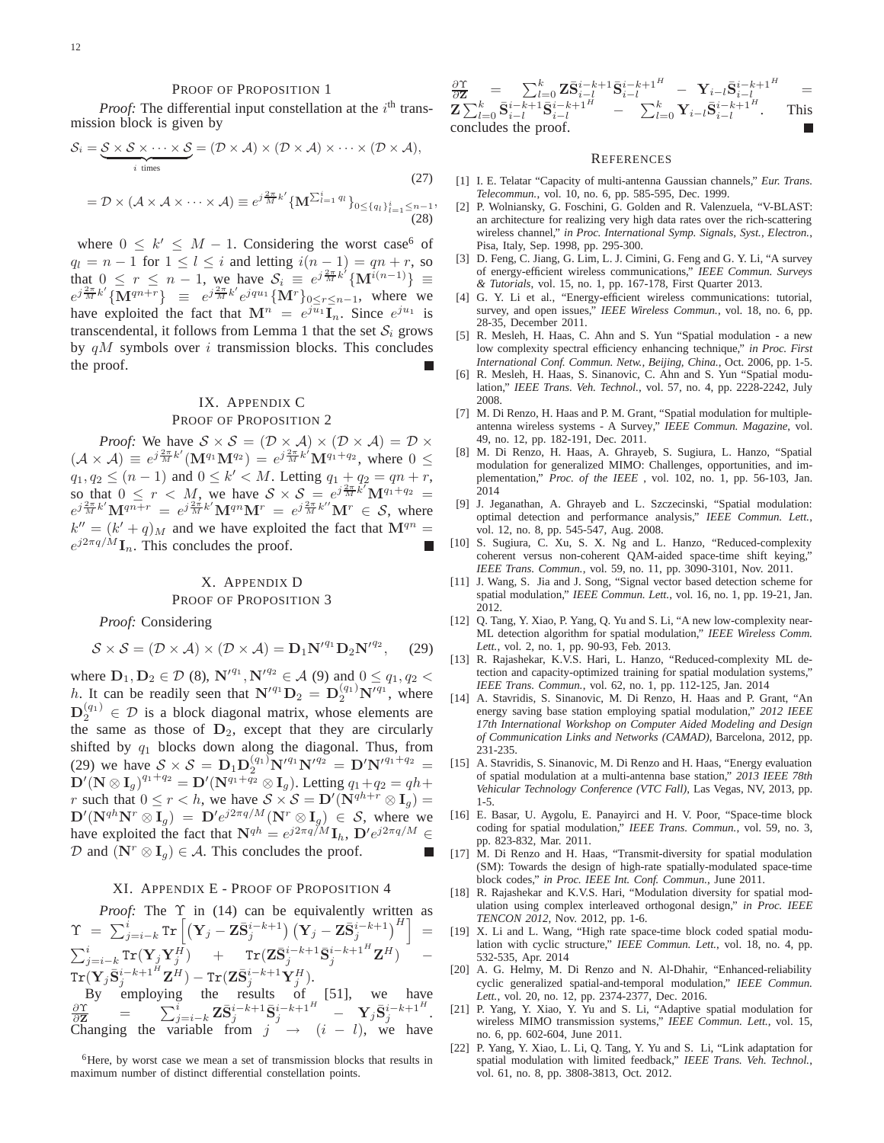#### PROOF OF PROPOSITION 1

*Proof:* The differential input constellation at the  $i<sup>th</sup>$  transmission block is given by

$$
S_i = \underbrace{S \times S \times \cdots \times S}_{i \text{ times}} = (D \times A) \times (D \times A) \times \cdots \times (D \times A),
$$
  
\n
$$
= D \times (A \times A \times \cdots \times A) \equiv e^{j\frac{2\pi}{M}k'} \{ \mathbf{M}^{\sum_{i=1}^{i} q_i} \}_{0 \leq \{q_i\}_{i=1}^{i} \leq n-1}
$$

, (28)

where  $0 \leq k' \leq M - 1$ . Considering the worst case<sup>6</sup> of  $q_l = n - 1$  for  $1 \leq l \leq i$  and letting  $i(n - 1) = qn + r$ , so that  $0 \le r \le n - 1$ , we have  $S_i \equiv e^{j\frac{2\pi}{M}k^{i}} \{ \mathbf{M}^{i(n-1)} \} \equiv$  $e^{j\frac{2\pi}{M}k'}\{\overline{\mathbf{M}}^{qn+r}\}\ \equiv\ e^{j\frac{2\pi}{M}k'}e^{jqu_1}\{\mathbf{M}^r\}_{0\leq r\leq n-1}$ , where we have exploited the fact that  $\mathbf{M}^n = e^{j\overline{u}_1} \overline{\mathbf{I}}_n$ . Since  $e^{j\overline{u}_1}$  is transcendental, it follows from Lemma 1 that the set  $S_i$  grows by  $qM$  symbols over i transmission blocks. This concludes the proof.

# IX. APPENDIX C PROOF OF PROPOSITION 2

*Proof:* We have  $S \times S = (\mathcal{D} \times \mathcal{A}) \times (\mathcal{D} \times \mathcal{A}) = \mathcal{D} \times$  $(\mathcal{A} \times \mathcal{A}) \equiv e^{j\frac{2\pi}{M}k'}(\mathbf{M}^{q_1}\mathbf{M}^{q_2}) = e^{j\frac{2\pi}{M}k'}\mathbf{M}^{q_1+q_2}$ , where  $0 \leq$  $q_1, q_2 \leq (n-1)$  and  $0 \leq k' < M$ . Letting  $q_1 + q_2 = qn + r$ , so that  $0 \le r < M$ , we have  $S \times S = e^{j\frac{2\pi}{M}k^2} M^{q_1+q_2} =$  $e^{j\frac{2\pi}{M}k'}\mathbf{M}^{qn+r} = e^{j\frac{2\pi}{M}k'}\mathbf{M}^{qn}\mathbf{M}^{r} = e^{j\frac{2\pi}{M}k''}\mathbf{M}^{r} \in \mathcal{S}$ , where  $k'' = (k' + q)$ <sub>M</sub> and we have exploited the fact that  $M^{qn} =$  $e^{j2\pi q/M}$ **I**<sub>n</sub>. This concludes the proof.

## X. APPENDIX D PROOF OF PROPOSITION 3

*Proof:* Considering

$$
S \times S = (\mathcal{D} \times \mathcal{A}) \times (\mathcal{D} \times \mathcal{A}) = \mathbf{D}_1 \mathbf{N}'^{q_1} \mathbf{D}_2 \mathbf{N}'^{q_2}, \quad (29)
$$

where  $D_1, D_2 \in \mathcal{D}$  (8),  $N'^{q_1}, N'^{q_2} \in \mathcal{A}$  (9) and  $0 \leq q_1, q_2 <$ h. It can be readily seen that  $N'^{q_1}D_2 = D_2^{(q_1)}N'^{q_1}$ , where  $\mathbf{D}_2^{(q_1)} \in \mathcal{D}$  is a block diagonal matrix, whose elements are the same as those of  $D_2$ , except that they are circularly shifted by  $q_1$  blocks down along the diagonal. Thus, from (29) we have  $S \times S = D_1 D_2^{(q_1)} N'^{q_1} N'^{q_2} = D' N'^{q_1+q_2} = D'(N \otimes I_g)$ . Letting  $q_1 + q_2 = q h +$ r such that  $0 \le r < h$ , we have  $S \times S = \mathbf{D}'(\mathbf{N}^{qh+r} \otimes \mathbf{I}_g) = \mathbf{D}'(\mathbf{N}^{qh}\mathbf{N}^r \otimes \mathbf{I}_g) = \mathbf{D}'e^{j2\pi q/M}(\mathbf{N}^r \otimes \mathbf{I}_g) \in S$ , where we have exploited the fact that  $N^{qh} = e^{j2\pi q/M} I_h$ ,  $D' e^{j2\pi q/M} \in$  $\mathcal{D}$  and  $(\mathbf{N}^r \otimes \mathbf{I}_q) \in \mathcal{A}$ . This concludes the proof.

#### XI. APPENDIX E - PROOF OF PROPOSITION 4

*Proof:* The 
$$
\Upsilon
$$
 in (14) can be equivalently written as  
\n
$$
\Upsilon = \sum_{j=i-k}^{i} \text{Tr} \left[ \left( \mathbf{Y}_j - \mathbf{Z} \bar{\mathbf{S}}_j^{i-k+1} \right) \left( \mathbf{Y}_j - \mathbf{Z} \bar{\mathbf{S}}_j^{i-k+1} \right)^H \right] =
$$
\n
$$
\sum_{j=i-k}^{i} \text{Tr} \left( \mathbf{Y}_j \mathbf{Y}_j^H \right) + \text{Tr} \left( \mathbf{Z} \bar{\mathbf{S}}_j^{i-k+1} \bar{\mathbf{S}}_j^{i-k+1} \right)^H \mathbf{Z}^H
$$
\n
$$
\text{Tr} \left( \mathbf{Y}_j \bar{\mathbf{S}}_j^{i-k+1} \mathbf{Z}^H \right) - \text{Tr} \left( \mathbf{Z} \bar{\mathbf{S}}_j^{i-k+1} \mathbf{Y}_j^H \right).
$$

By employing the results of [51], we have  $\frac{\partial \Upsilon}{\partial \mathbf{Z}} \quad = \quad \sum_{j=i-k}^{\bar{i}} \mathbf{Z} \bar{\mathbf{S}}_{j}^{i-k+1} \bar{\mathbf{S}}_{j}^{i-k+1} \quad - \quad \mathbf{Y}_{j} \bar{\mathbf{S}}_{j}^{i-k+1} \quad .$ Changing the variable from  $j \rightarrow (i - l)$ , we have

 $^6$ Here, by worst case we mean a set of transmission blocks that results in maximum number of distinct differential constellation points.

![](_page_11_Figure_15.jpeg)

#### **REFERENCES**

- [1] I. E. Telatar "Capacity of multi-antenna Gaussian channels," *Eur. Trans. Telecommun.*, vol. 10, no. 6, pp. 585-595, Dec. 1999.
- [2] P. Wolniansky, G. Foschini, G. Golden and R. Valenzuela, "V-BLAST: an architecture for realizing very high data rates over the rich-scattering wireless channel," *in Proc. International Symp. Signals, Syst., Electron.*, Pisa, Italy, Sep. 1998, pp. 295-300.
- [3] D. Feng, C. Jiang, G. Lim, L. J. Cimini, G. Feng and G. Y. Li, "A survey of energy-efficient wireless communications," *IEEE Commun. Surveys & Tutorials*, vol. 15, no. 1, pp. 167-178, First Quarter 2013.
- [4] G. Y. Li et al., "Energy-efficient wireless communications: tutorial, survey, and open issues," *IEEE Wireless Commun.*, vol. 18, no. 6, pp. 28-35, December 2011.
- [5] R. Mesleh, H. Haas, C. Ahn and S. Yun "Spatial modulation a new low complexity spectral efficiency enhancing technique," *in Proc. First International Conf. Commun. Netw., Beijing, China.*, Oct. 2006, pp. 1-5.
- [6] R. Mesleh, H. Haas, S. Sinanovic, C. Ahn and S. Yun "Spatial modulation," *IEEE Trans. Veh. Technol.*, vol. 57, no. 4, pp. 2228-2242, July 2008.
- [7] M. Di Renzo, H. Haas and P. M. Grant, "Spatial modulation for multipleantenna wireless systems - A Survey," *IEEE Commun. Magazine*, vol. 49, no. 12, pp. 182-191, Dec. 2011.
- [8] M. Di Renzo, H. Haas, A. Ghrayeb, S. Sugiura, L. Hanzo, "Spatial modulation for generalized MIMO: Challenges, opportunities, and implementation," *Proc. of the IEEE* , vol. 102, no. 1, pp. 56-103, Jan. 2014
- [9] J. Jeganathan, A. Ghrayeb and L. Szczecinski, "Spatial modulation: optimal detection and performance analysis," *IEEE Commun. Lett.*, vol. 12, no. 8, pp. 545-547, Aug. 2008.
- [10] S. Sugiura, C. Xu, S. X. Ng and L. Hanzo, "Reduced-complexity coherent versus non-coherent QAM-aided space-time shift keying, *IEEE Trans. Commun.*, vol. 59, no. 11, pp. 3090-3101, Nov. 2011.
- [11] J. Wang, S. Jia and J. Song, "Signal vector based detection scheme for spatial modulation," *IEEE Commun. Lett.*, vol. 16, no. 1, pp. 19-21, Jan. 2012.
- [12] Q. Tang, Y. Xiao, P. Yang, Q. Yu and S. Li, "A new low-complexity near-ML detection algorithm for spatial modulation," *IEEE Wireless Comm. Lett.*, vol. 2, no. 1, pp. 90-93, Feb. 2013.
- [13] R. Rajashekar, K.V.S. Hari, L. Hanzo, "Reduced-complexity ML detection and capacity-optimized training for spatial modulation systems," *IEEE Trans. Commun.*, vol. 62, no. 1, pp. 112-125, Jan. 2014
- [14] A. Stavridis, S. Sinanovic, M. Di Renzo, H. Haas and P. Grant, "An energy saving base station employing spatial modulation," *2012 IEEE 17th International Workshop on Computer Aided Modeling and Design of Communication Links and Networks (CAMAD)*, Barcelona, 2012, pp. 231-235.
- [15] A. Stavridis, S. Sinanovic, M. Di Renzo and H. Haas, "Energy evaluation of spatial modulation at a multi-antenna base station," *2013 IEEE 78th Vehicular Technology Conference (VTC Fall)*, Las Vegas, NV, 2013, pp. 1-5.
- [16] E. Basar, U. Aygolu, E. Panayirci and H. V. Poor, "Space-time block coding for spatial modulation," *IEEE Trans. Commun.*, vol. 59, no. 3, pp. 823-832, Mar. 2011.
- [17] M. Di Renzo and H. Haas, "Transmit-diversity for spatial modulation (SM): Towards the design of high-rate spatially-modulated space-time block codes," *in Proc. IEEE Int. Conf. Commun.*, June 2011.
- [18] R. Rajashekar and K.V.S. Hari, "Modulation diversity for spatial modulation using complex interleaved orthogonal design," *in Proc. IEEE TENCON 2012*, Nov. 2012, pp. 1-6.
- [19] X. Li and L. Wang, "High rate space-time block coded spatial modulation with cyclic structure," *IEEE Commun. Lett.*, vol. 18, no. 4, pp. 532-535, Apr. 2014
- [20] A. G. Helmy, M. Di Renzo and N. Al-Dhahir, "Enhanced-reliability cyclic generalized spatial-and-temporal modulation," *IEEE Commun. Lett.*, vol. 20, no. 12, pp. 2374-2377, Dec. 2016.
- [21] P. Yang, Y. Xiao, Y. Yu and S. Li, "Adaptive spatial modulation for wireless MIMO transmission systems," *IEEE Commun. Lett.*, vol. 15, no. 6, pp. 602-604, June 2011.
- [22] P. Yang, Y. Xiao, L. Li, Q. Tang, Y. Yu and S. Li, "Link adaptation for spatial modulation with limited feedback," *IEEE Trans. Veh. Technol.*, vol. 61, no. 8, pp. 3808-3813, Oct. 2012.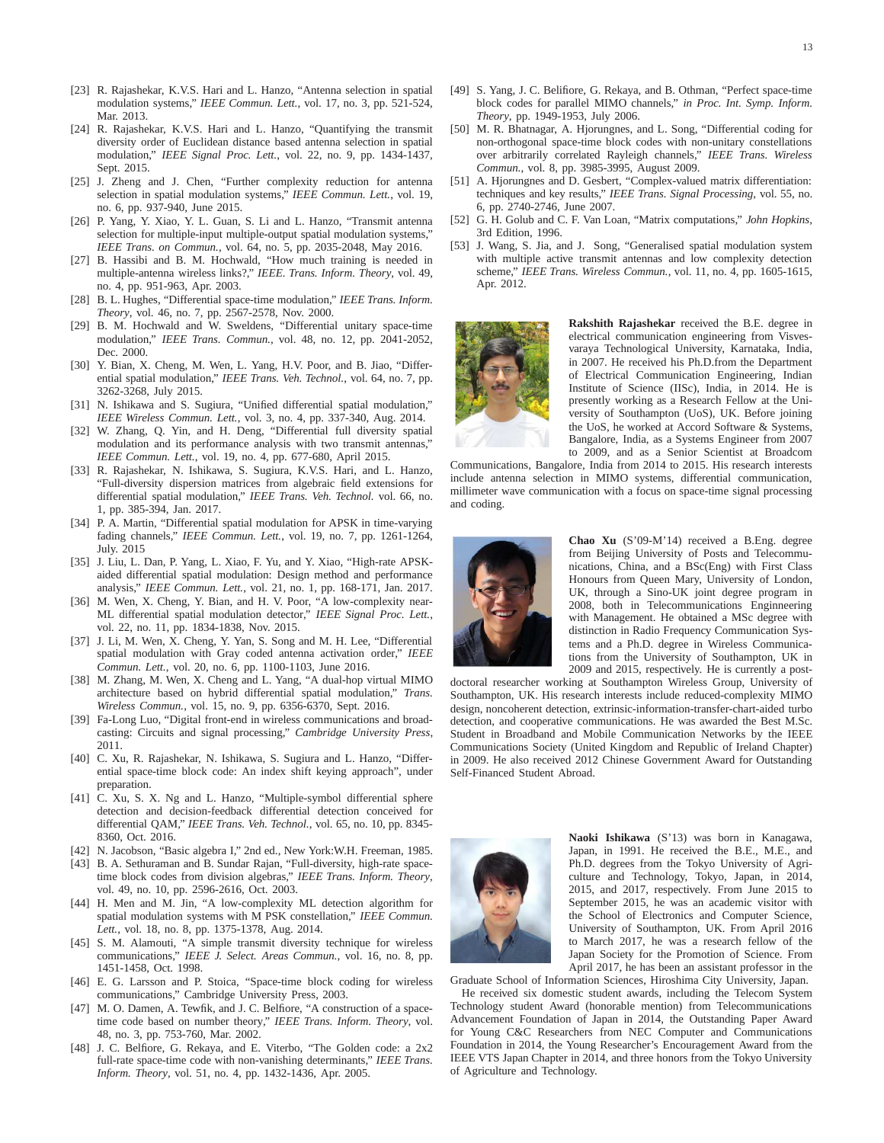- [23] R. Rajashekar, K.V.S. Hari and L. Hanzo, "Antenna selection in spatial modulation systems," *IEEE Commun. Lett.*, vol. 17, no. 3, pp. 521-524, Mar. 2013.
- [24] R. Rajashekar, K.V.S. Hari and L. Hanzo, "Quantifying the transmit diversity order of Euclidean distance based antenna selection in spatial modulation," *IEEE Signal Proc. Lett.*, vol. 22, no. 9, pp. 1434-1437, Sept. 2015.
- [25] J. Zheng and J. Chen, "Further complexity reduction for antenna selection in spatial modulation systems," *IEEE Commun. Lett.*, vol. 19, no. 6, pp. 937-940, June 2015.
- [26] P. Yang, Y. Xiao, Y. L. Guan, S. Li and L. Hanzo, "Transmit antenna selection for multiple-input multiple-output spatial modulation systems," *IEEE Trans. on Commun.*, vol. 64, no. 5, pp. 2035-2048, May 2016.
- [27] B. Hassibi and B. M. Hochwald, "How much training is needed in multiple-antenna wireless links?," *IEEE. Trans. Inform. Theory*, vol. 49, no. 4, pp. 951-963, Apr. 2003.
- [28] B. L. Hughes, "Differential space-time modulation," *IEEE Trans. Inform. Theory*, vol. 46, no. 7, pp. 2567-2578, Nov. 2000.
- [29] B. M. Hochwald and W. Sweldens, "Differential unitary space-time modulation," *IEEE Trans. Commun.*, vol. 48, no. 12, pp. 2041-2052, Dec. 2000.
- [30] Y. Bian, X. Cheng, M. Wen, L. Yang, H.V. Poor, and B. Jiao, "Differential spatial modulation," *IEEE Trans. Veh. Technol.*, vol. 64, no. 7, pp. 3262-3268, July 2015.
- [31] N. Ishikawa and S. Sugiura, "Unified differential spatial modulation," *IEEE Wireless Commun. Lett.*, vol. 3, no. 4, pp. 337-340, Aug. 2014.
- [32] W. Zhang, Q. Yin, and H. Deng, "Differential full diversity spatial modulation and its performance analysis with two transmit antennas," *IEEE Commun. Lett.*, vol. 19, no. 4, pp. 677-680, April 2015.
- [33] R. Rajashekar, N. Ishikawa, S. Sugiura, K.V.S. Hari, and L. Hanzo, "Full-diversity dispersion matrices from algebraic field extensions for differential spatial modulation," *IEEE Trans. Veh. Technol.* vol. 66, no. 1, pp. 385-394, Jan. 2017.
- [34] P. A. Martin, "Differential spatial modulation for APSK in time-varying fading channels," *IEEE Commun. Lett.*, vol. 19, no. 7, pp. 1261-1264, July. 2015
- [35] J. Liu, L. Dan, P. Yang, L. Xiao, F. Yu, and Y. Xiao, "High-rate APSKaided differential spatial modulation: Design method and performance analysis," *IEEE Commun. Lett.*, vol. 21, no. 1, pp. 168-171, Jan. 2017.
- [36] M. Wen, X. Cheng, Y. Bian, and H. V. Poor, "A low-complexity near-ML differential spatial modulation detector," *IEEE Signal Proc. Lett.*, vol. 22, no. 11, pp. 1834-1838, Nov. 2015.
- [37] J. Li, M. Wen, X. Cheng, Y. Yan, S. Song and M. H. Lee, "Differential spatial modulation with Gray coded antenna activation order," *IEEE Commun. Lett.*, vol. 20, no. 6, pp. 1100-1103, June 2016.
- [38] M. Zhang, M. Wen, X. Cheng and L. Yang, "A dual-hop virtual MIMO architecture based on hybrid differential spatial modulation," *Trans. Wireless Commun.*, vol. 15, no. 9, pp. 6356-6370, Sept. 2016.
- [39] Fa-Long Luo, "Digital front-end in wireless communications and broadcasting: Circuits and signal processing," *Cambridge University Press*, 2011.
- [40] C. Xu, R. Rajashekar, N. Ishikawa, S. Sugiura and L. Hanzo, "Differential space-time block code: An index shift keying approach", under preparation.
- [41] C. Xu, S. X. Ng and L. Hanzo, "Multiple-symbol differential sphere detection and decision-feedback differential detection conceived for differential QAM," *IEEE Trans. Veh. Technol.*, vol. 65, no. 10, pp. 8345- 8360, Oct. 2016.
- [42] N. Jacobson, "Basic algebra I," 2nd ed., New York:W.H. Freeman, 1985.
- [43] B. A. Sethuraman and B. Sundar Rajan, "Full-diversity, high-rate spacetime block codes from division algebras," *IEEE Trans. Inform. Theory*, vol. 49, no. 10, pp. 2596-2616, Oct. 2003.
- [44] H. Men and M. Jin, "A low-complexity ML detection algorithm for spatial modulation systems with M PSK constellation," *IEEE Commun. Lett.*, vol. 18, no. 8, pp. 1375-1378, Aug. 2014.
- [45] S. M. Alamouti, "A simple transmit diversity technique for wireless communications," *IEEE J. Select. Areas Commun.*, vol. 16, no. 8, pp. 1451-1458, Oct. 1998.
- [46] E. G. Larsson and P. Stoica, "Space-time block coding for wireless communications," Cambridge University Press, 2003.
- [47] M. O. Damen, A. Tewfik, and J. C. Belfiore, "A construction of a spacetime code based on number theory," *IEEE Trans. Inform. Theory*, vol. 48, no. 3, pp. 753-760, Mar. 2002.
- [48] J. C. Belfiore, G. Rekaya, and E. Viterbo, "The Golden code: a 2x2 full-rate space-time code with non-vanishing determinants," *IEEE Trans. Inform. Theory*, vol. 51, no. 4, pp. 1432-1436, Apr. 2005.
- [49] S. Yang, J. C. Belifiore, G. Rekaya, and B. Othman, "Perfect space-time block codes for parallel MIMO channels," *in Proc. Int. Symp. Inform. Theory*, pp. 1949-1953, July 2006.
- [50] M. R. Bhatnagar, A. Hjorungnes, and L. Song, "Differential coding for non-orthogonal space-time block codes with non-unitary constellations over arbitrarily correlated Rayleigh channels," *IEEE Trans. Wireless Commun.*, vol. 8, pp. 3985-3995, August 2009.
- [51] A. Hjorungnes and D. Gesbert, "Complex-valued matrix differentiation: techniques and key results," *IEEE Trans. Signal Processing*, vol. 55, no. 6, pp. 2740-2746, June 2007.
- [52] G. H. Golub and C. F. Van Loan, "Matrix computations," *John Hopkins*, 3rd Edition, 1996.
- [53] J. Wang, S. Jia, and J. Song, "Generalised spatial modulation system with multiple active transmit antennas and low complexity detection scheme," *IEEE Trans. Wireless Commun.*, vol. 11, no. 4, pp. 1605-1615, Apr. 2012.

![](_page_12_Picture_31.jpeg)

**Rakshith Rajashekar** received the B.E. degree in electrical communication engineering from Visvesvaraya Technological University, Karnataka, India, in 2007. He received his Ph.D.from the Department of Electrical Communication Engineering, Indian Institute of Science (IISc), India, in 2014. He is presently working as a Research Fellow at the University of Southampton (UoS), UK. Before joining the UoS, he worked at Accord Software & Systems, Bangalore, India, as a Systems Engineer from 2007 to 2009, and as a Senior Scientist at Broadcom

Communications, Bangalore, India from 2014 to 2015. His research interests include antenna selection in MIMO systems, differential communication, millimeter wave communication with a focus on space-time signal processing and coding.

![](_page_12_Picture_34.jpeg)

**Chao Xu** (S'09-M'14) received a B.Eng. degree from Beijing University of Posts and Telecommunications, China, and a BSc(Eng) with First Class Honours from Queen Mary, University of London, UK, through a Sino-UK joint degree program in 2008, both in Telecommunications Enginneering with Management. He obtained a MSc degree with distinction in Radio Frequency Communication Systems and a Ph.D. degree in Wireless Communications from the University of Southampton, UK in 2009 and 2015, respectively. He is currently a post-

doctoral researcher working at Southampton Wireless Group, University of Southampton, UK. His research interests include reduced-complexity MIMO design, noncoherent detection, extrinsic-information-transfer-chart-aided turbo detection, and cooperative communications. He was awarded the Best M.Sc. Student in Broadband and Mobile Communication Networks by the IEEE Communications Society (United Kingdom and Republic of Ireland Chapter) in 2009. He also received 2012 Chinese Government Award for Outstanding Self-Financed Student Abroad.

![](_page_12_Picture_37.jpeg)

**Naoki Ishikawa** (S'13) was born in Kanagawa, Japan, in 1991. He received the B.E., M.E., and Ph.D. degrees from the Tokyo University of Agriculture and Technology, Tokyo, Japan, in 2014, 2015, and 2017, respectively. From June 2015 to September 2015, he was an academic visitor with the School of Electronics and Computer Science, University of Southampton, UK. From April 2016 to March 2017, he was a research fellow of the Japan Society for the Promotion of Science. From April 2017, he has been an assistant professor in the

Graduate School of Information Sciences, Hiroshima City University, Japan.

He received six domestic student awards, including the Telecom System Technology student Award (honorable mention) from Telecommunications Advancement Foundation of Japan in 2014, the Outstanding Paper Award for Young C&C Researchers from NEC Computer and Communications Foundation in 2014, the Young Researcher's Encouragement Award from the IEEE VTS Japan Chapter in 2014, and three honors from the Tokyo University of Agriculture and Technology.